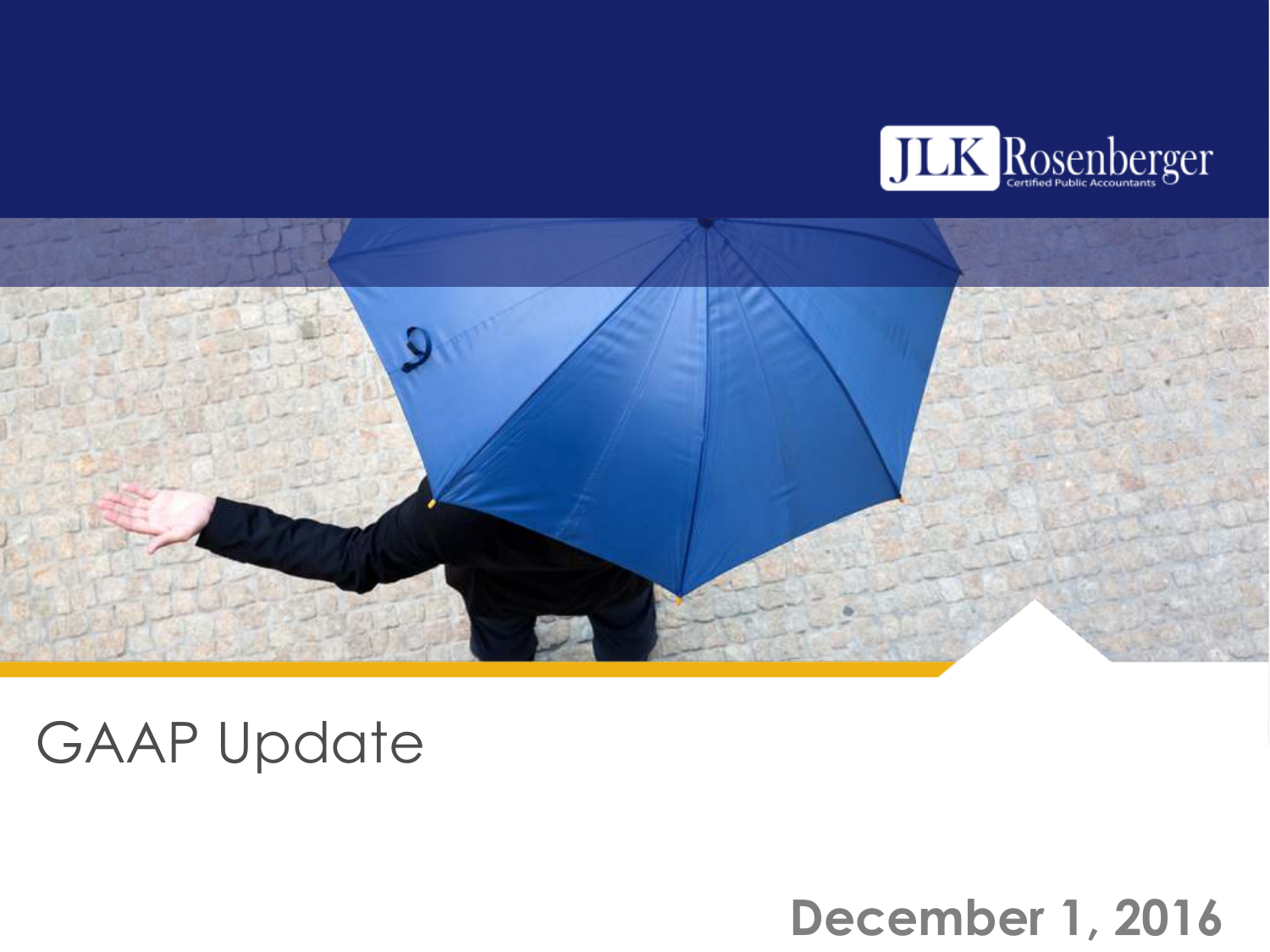



### GAAP Update

### **December 1, 2016**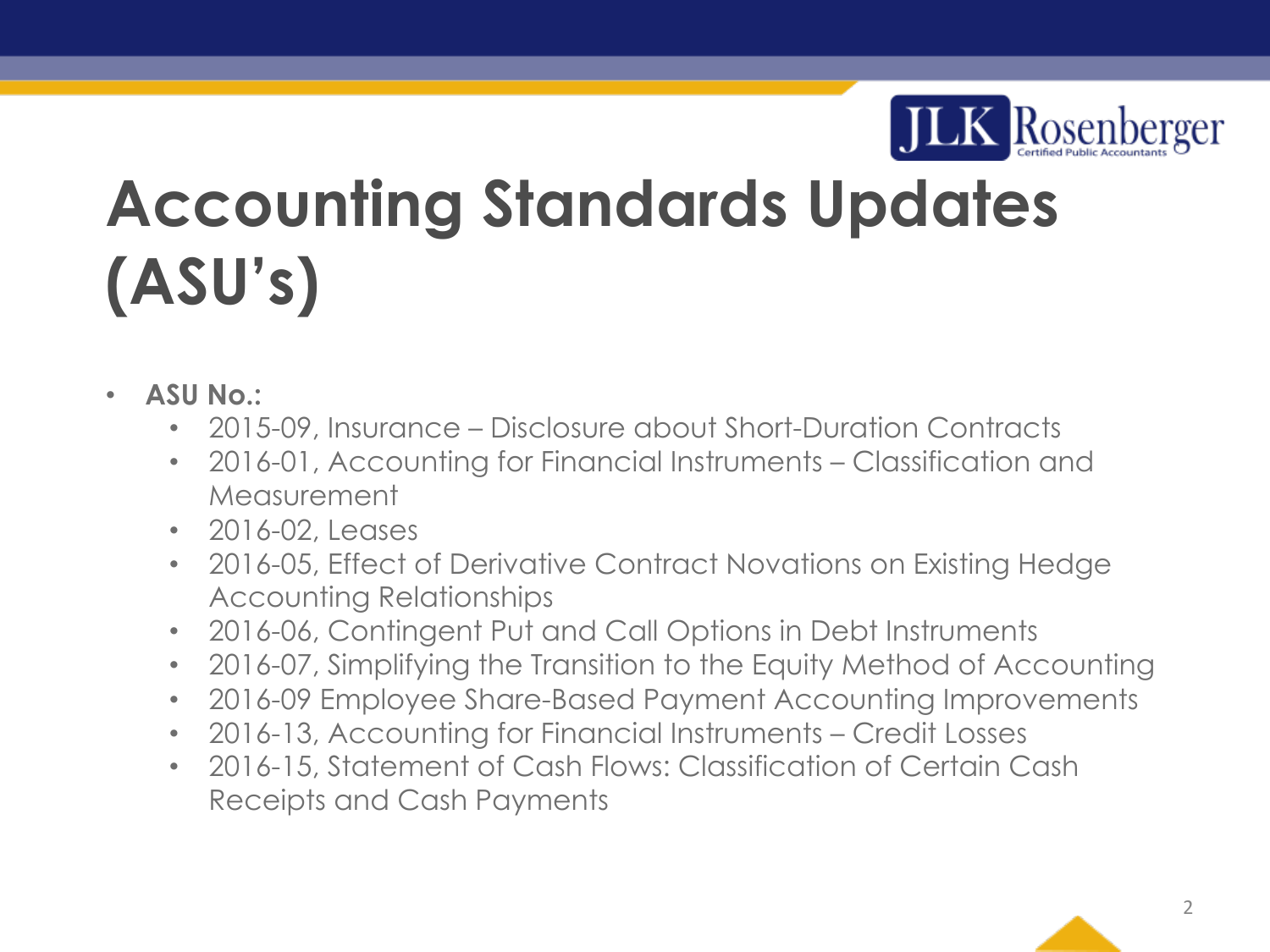

# **Accounting Standards Updates (ASU's)**

- **ASU No.:**
	- 2015-09, Insurance Disclosure about Short-Duration Contracts
	- 2016-01, Accounting for Financial Instruments Classification and Measurement
	- 2016-02, Leases
	- 2016-05, Effect of Derivative Contract Novations on Existing Hedge Accounting Relationships
	- 2016-06, Contingent Put and Call Options in Debt Instruments
	- 2016-07, Simplifying the Transition to the Equity Method of Accounting
	- 2016-09 Employee Share-Based Payment Accounting Improvements
	- 2016-13, Accounting for Financial Instruments Credit Losses
	- 2016-15, Statement of Cash Flows: Classification of Certain Cash Receipts and Cash Payments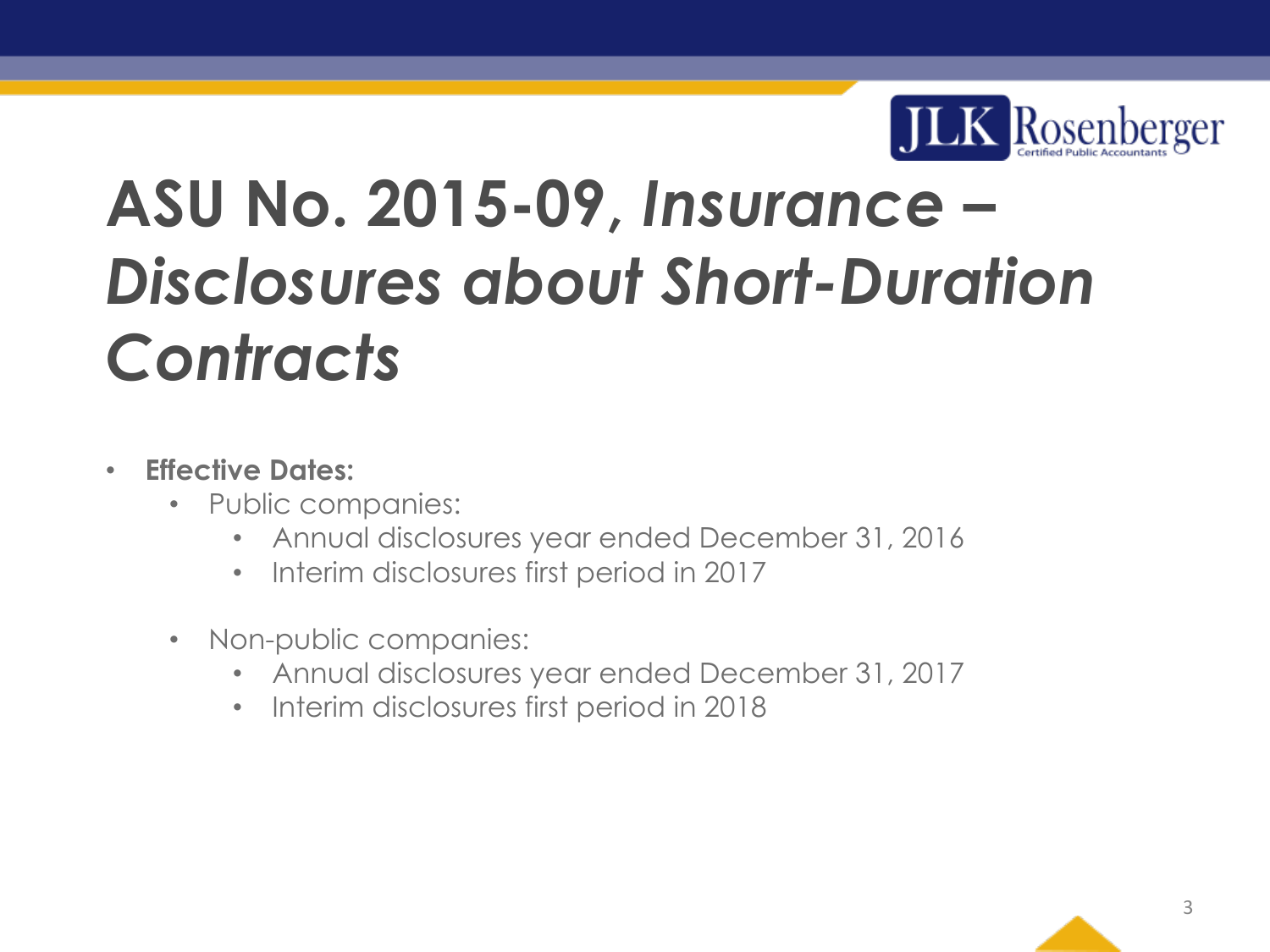

# **ASU No. 2015-09,** *Insurance – Disclosures about Short-Duration Contracts*

#### • **Effective Dates:**

- Public companies:
	- Annual disclosures year ended December 31, 2016
	- Interim disclosures first period in 2017
- Non-public companies:
	- Annual disclosures year ended December 31, 2017
	- Interim disclosures first period in 2018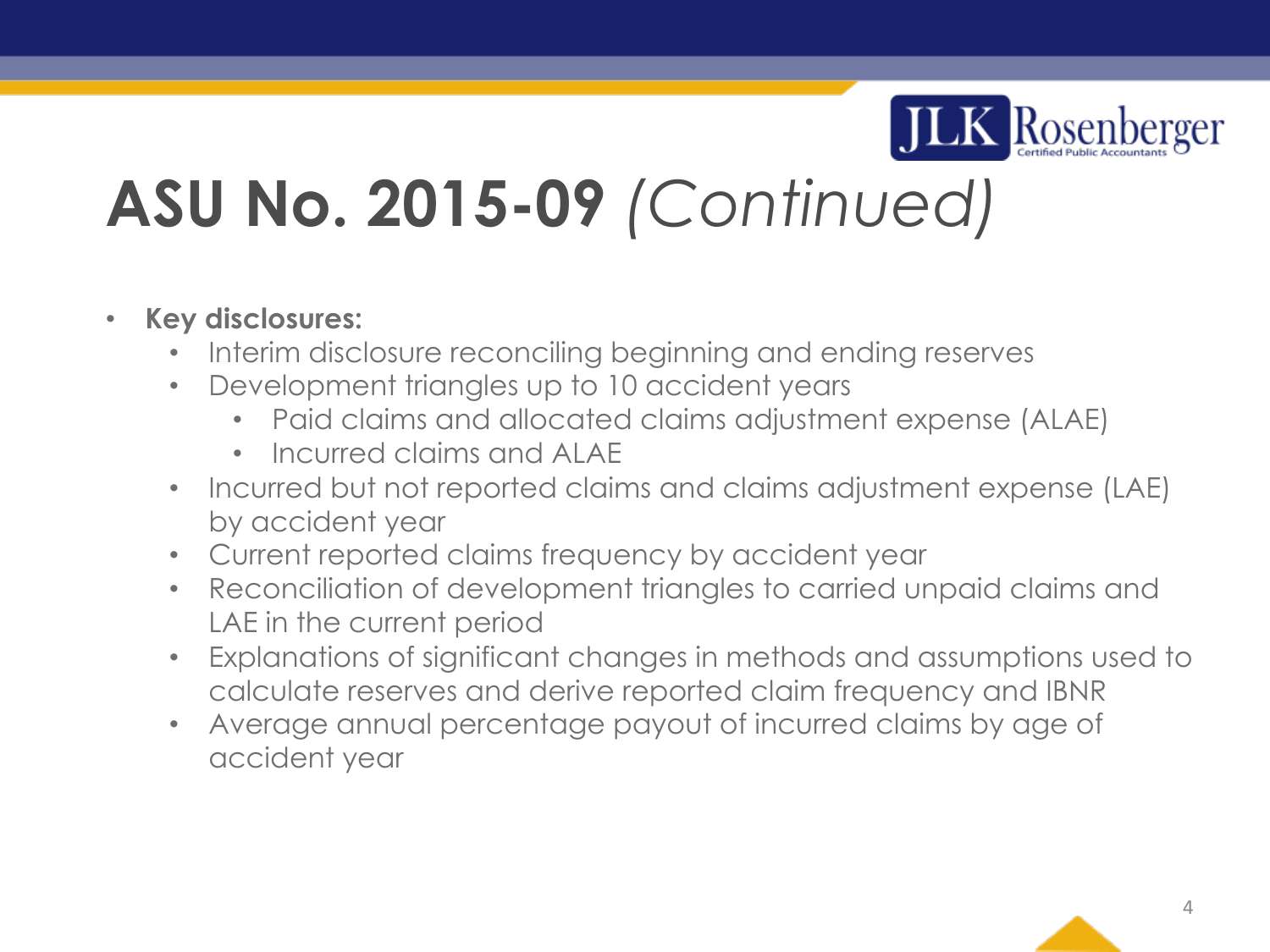

#### • **Key disclosures:**

- Interim disclosure reconciling beginning and ending reserves
- Development triangles up to 10 accident years
	- Paid claims and allocated claims adjustment expense (ALAE)
	- Incurred claims and ALAE
- Incurred but not reported claims and claims adjustment expense (LAE) by accident year
- Current reported claims frequency by accident year
- Reconciliation of development triangles to carried unpaid claims and LAE in the current period
- Explanations of significant changes in methods and assumptions used to calculate reserves and derive reported claim frequency and IBNR
- Average annual percentage payout of incurred claims by age of accident year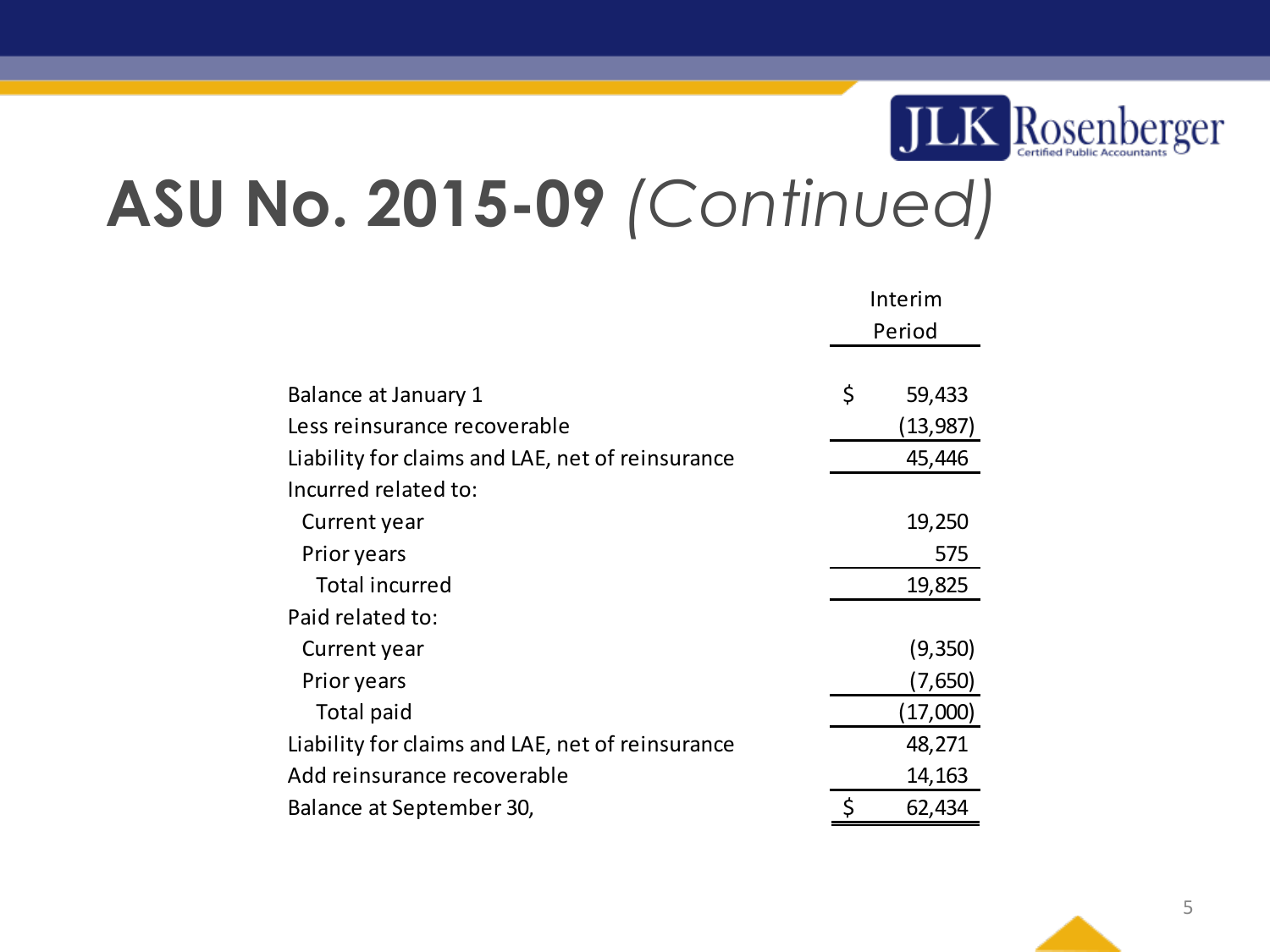

|                                                  | Interim      |
|--------------------------------------------------|--------------|
|                                                  | Period       |
|                                                  |              |
| Balance at January 1                             | \$<br>59,433 |
| Less reinsurance recoverable                     | (13, 987)    |
| Liability for claims and LAE, net of reinsurance | 45,446       |
| Incurred related to:                             |              |
| Current year                                     | 19,250       |
| Prior years                                      | 575          |
| <b>Total incurred</b>                            | 19,825       |
| Paid related to:                                 |              |
| Current year                                     | (9,350)      |
| Prior years                                      | (7,650)      |
| Total paid                                       | (17,000)     |
| Liability for claims and LAE, net of reinsurance | 48,271       |
| Add reinsurance recoverable                      | 14,163       |
| Balance at September 30,                         | \$<br>62,434 |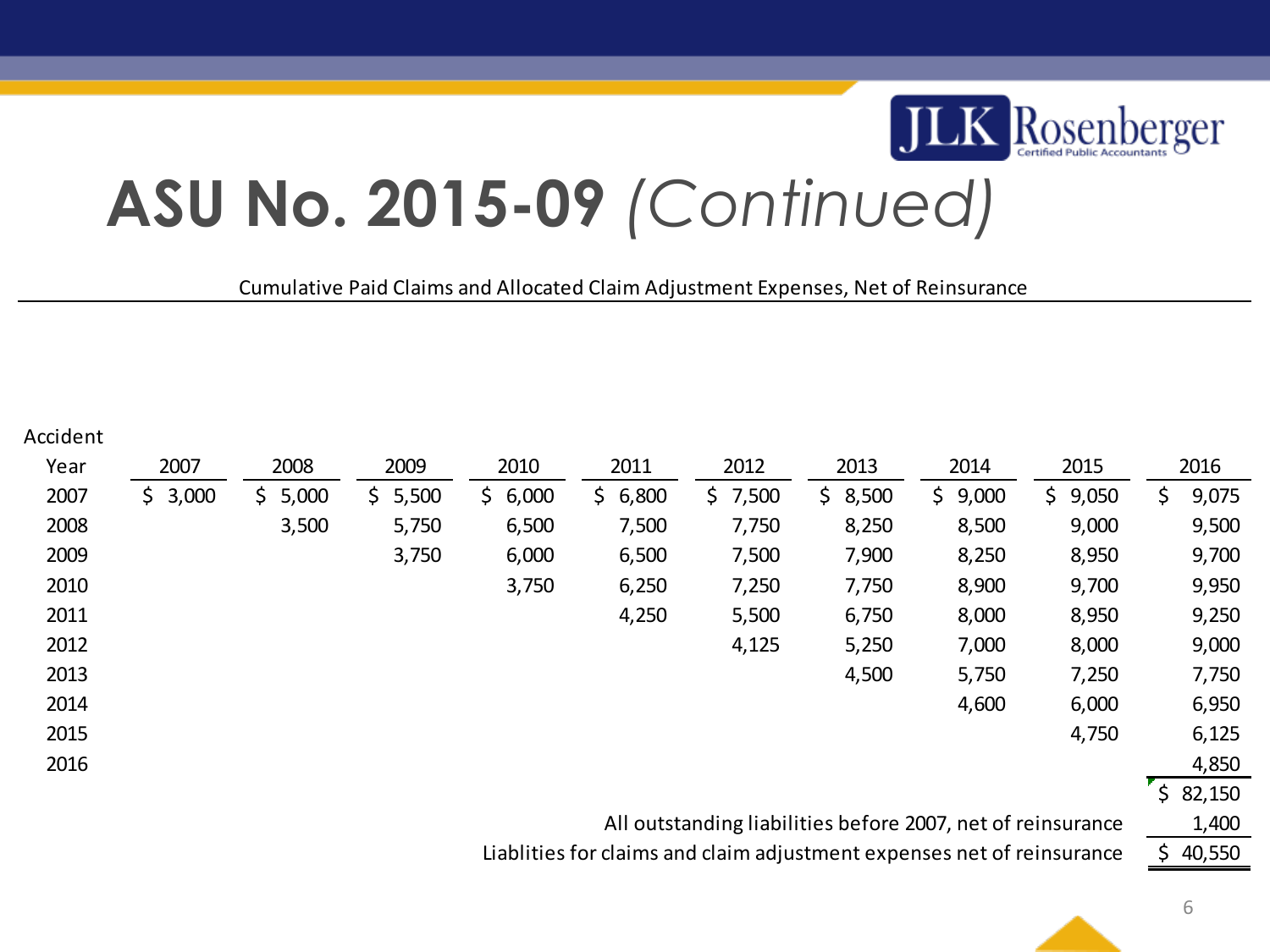

Cumulative Paid Claims and Allocated Claim Adjustment Expenses, Net of Reinsurance

| Accident                                                    |         |              |             |              |             |         |         |                                                                        |              |              |
|-------------------------------------------------------------|---------|--------------|-------------|--------------|-------------|---------|---------|------------------------------------------------------------------------|--------------|--------------|
| Year                                                        | 2007    | 2008         | 2009        | 2010         | 2011        | 2012    | 2013    | 2014                                                                   | 2015         | 2016         |
| 2007                                                        | \$3,000 | \$.<br>5,000 | 5,500<br>Ś. | 6,000<br>\$. | 6,800<br>Ś. | \$7,500 | \$8,500 | 9,000<br>\$.                                                           | 9,050<br>\$. | 9,075<br>\$  |
| 2008                                                        |         | 3,500        | 5,750       | 6,500        | 7,500       | 7,750   | 8,250   | 8,500                                                                  | 9,000        | 9,500        |
| 2009                                                        |         |              | 3,750       | 6,000        | 6,500       | 7,500   | 7,900   | 8,250                                                                  | 8,950        | 9,700        |
| 2010                                                        |         |              |             | 3,750        | 6,250       | 7,250   | 7,750   | 8,900                                                                  | 9,700        | 9,950        |
| 2011                                                        |         |              |             |              | 4,250       | 5,500   | 6,750   | 8,000                                                                  | 8,950        | 9,250        |
| 2012                                                        |         |              |             |              |             | 4,125   | 5,250   | 7,000                                                                  | 8,000        | 9,000        |
| 2013                                                        |         |              |             |              |             |         | 4,500   | 5,750                                                                  | 7,250        | 7,750        |
| 2014                                                        |         |              |             |              |             |         |         | 4,600                                                                  | 6,000        | 6,950        |
| 2015                                                        |         |              |             |              |             |         |         |                                                                        | 4,750        | 6,125        |
| 2016                                                        |         |              |             |              |             |         |         |                                                                        |              | 4,850        |
|                                                             |         |              |             |              |             |         |         |                                                                        |              | \$82,150     |
| All outstanding liabilities before 2007, net of reinsurance |         |              |             |              |             |         |         |                                                                        |              | 1,400        |
|                                                             |         |              |             |              |             |         |         | Liablities for claims and claim adjustment expenses net of reinsurance |              | 40,550<br>\$ |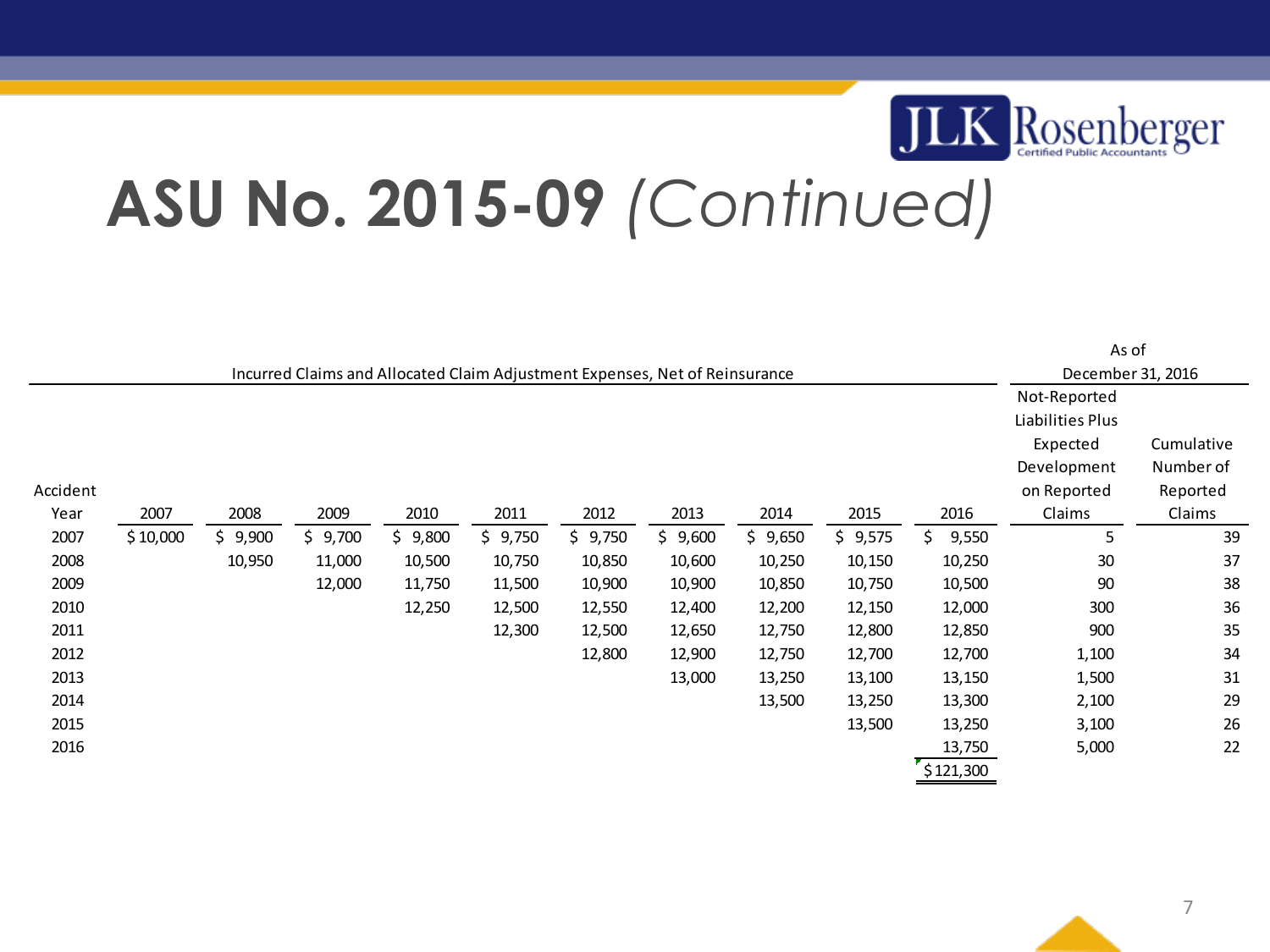

|          |          |         |         |         |         |         | Incurred Claims and Allocated Claim Adjustment Expenses, Net of Reinsurance |         |         | As of<br>December 31, 2016 |                                                                            |                                     |
|----------|----------|---------|---------|---------|---------|---------|-----------------------------------------------------------------------------|---------|---------|----------------------------|----------------------------------------------------------------------------|-------------------------------------|
| Accident |          |         |         |         |         |         |                                                                             |         |         |                            | Not-Reported<br>Liabilities Plus<br>Expected<br>Development<br>on Reported | Cumulative<br>Number of<br>Reported |
| Year     | 2007     | 2008    | 2009    | 2010    | 2011    | 2012    | 2013                                                                        | 2014    | 2015    | 2016                       | Claims                                                                     | Claims                              |
| 2007     | \$10,000 | \$9,900 | \$9,700 | \$9,800 | \$9,750 | \$9,750 | \$9,600                                                                     | \$9,650 | \$9,575 | Ś.<br>9,550                | 5                                                                          | 39                                  |
| 2008     |          | 10,950  | 11,000  | 10,500  | 10,750  | 10,850  | 10,600                                                                      | 10,250  | 10,150  | 10,250                     | 30                                                                         | 37                                  |
| 2009     |          |         | 12,000  | 11,750  | 11,500  | 10,900  | 10,900                                                                      | 10,850  | 10,750  | 10,500                     | 90                                                                         | 38                                  |
| 2010     |          |         |         | 12,250  | 12,500  | 12,550  | 12,400                                                                      | 12,200  | 12,150  | 12,000                     | 300                                                                        | 36                                  |
| 2011     |          |         |         |         | 12,300  | 12,500  | 12,650                                                                      | 12,750  | 12,800  | 12,850                     | 900                                                                        | 35                                  |
| 2012     |          |         |         |         |         | 12,800  | 12,900                                                                      | 12,750  | 12,700  | 12,700                     | 1,100                                                                      | 34                                  |
| 2013     |          |         |         |         |         |         | 13,000                                                                      | 13,250  | 13,100  | 13,150                     | 1,500                                                                      | 31                                  |
| 2014     |          |         |         |         |         |         |                                                                             | 13,500  | 13,250  | 13,300                     | 2,100                                                                      | 29                                  |
| 2015     |          |         |         |         |         |         |                                                                             |         | 13,500  | 13,250                     | 3,100                                                                      | 26                                  |
| 2016     |          |         |         |         |         |         |                                                                             |         |         | 13,750                     | 5,000                                                                      | 22                                  |
|          |          |         |         |         |         |         |                                                                             |         |         | \$121,300                  |                                                                            |                                     |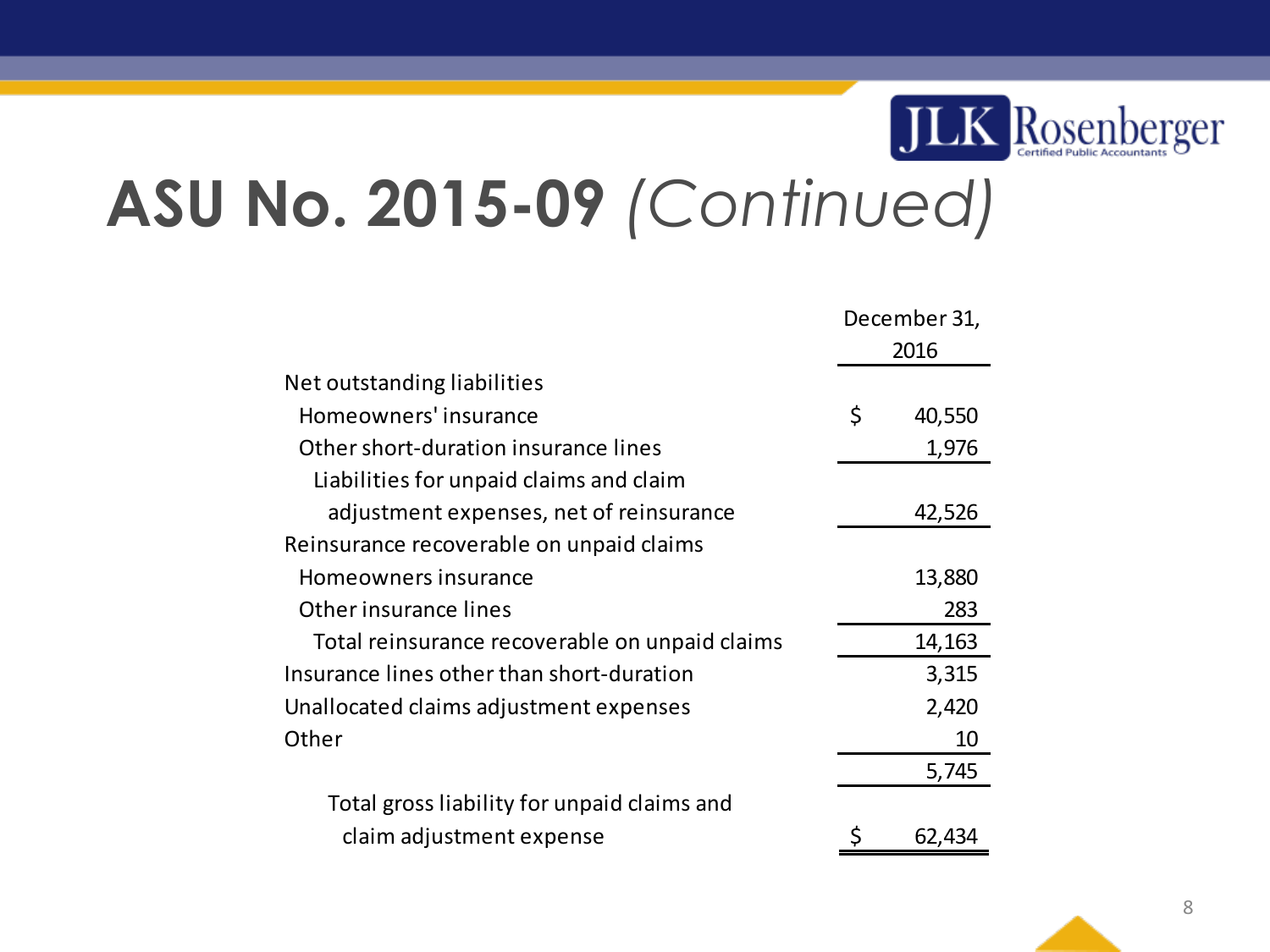

|                                                | December 31, |
|------------------------------------------------|--------------|
|                                                | 2016         |
| Net outstanding liabilities                    |              |
| Homeowners' insurance                          | \$<br>40,550 |
| Other short-duration insurance lines           | 1,976        |
| Liabilities for unpaid claims and claim        |              |
| adjustment expenses, net of reinsurance        | 42,526       |
| Reinsurance recoverable on unpaid claims       |              |
| Homeowners insurance                           | 13,880       |
| Other insurance lines                          | 283          |
| Total reinsurance recoverable on unpaid claims | 14,163       |
| Insurance lines other than short-duration      | 3,315        |
| Unallocated claims adjustment expenses         | 2,420        |
| Other                                          | 10           |
|                                                | 5,745        |
| Total gross liability for unpaid claims and    |              |
| claim adjustment expense                       | 62,434       |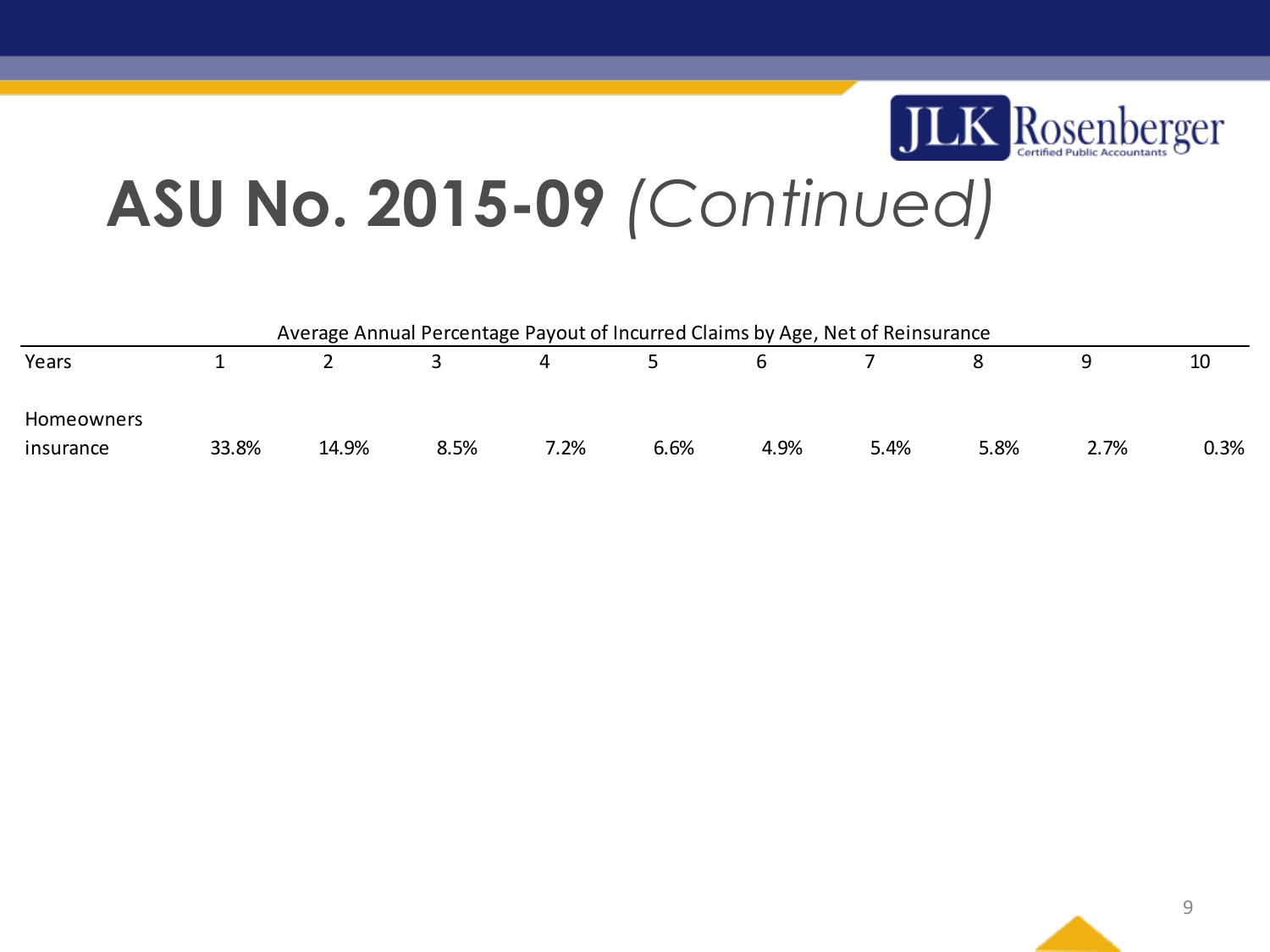

| Average Annual Percentage Payout of Incurred Claims by Age, Net of Reinsurance |       |       |      |      |      |      |      |      |      |      |  |
|--------------------------------------------------------------------------------|-------|-------|------|------|------|------|------|------|------|------|--|
| Years                                                                          |       |       |      | 4    |      | n    |      |      |      | 10   |  |
| <b>Homeowners</b>                                                              |       |       |      |      |      | 4.9% |      |      |      |      |  |
| <i><b>Insurance</b></i>                                                        | 33.8% | 14.9% | 8.5% | 7.2% | 6.6% |      | 5.4% | 5.8% | 2.7% | 0.3% |  |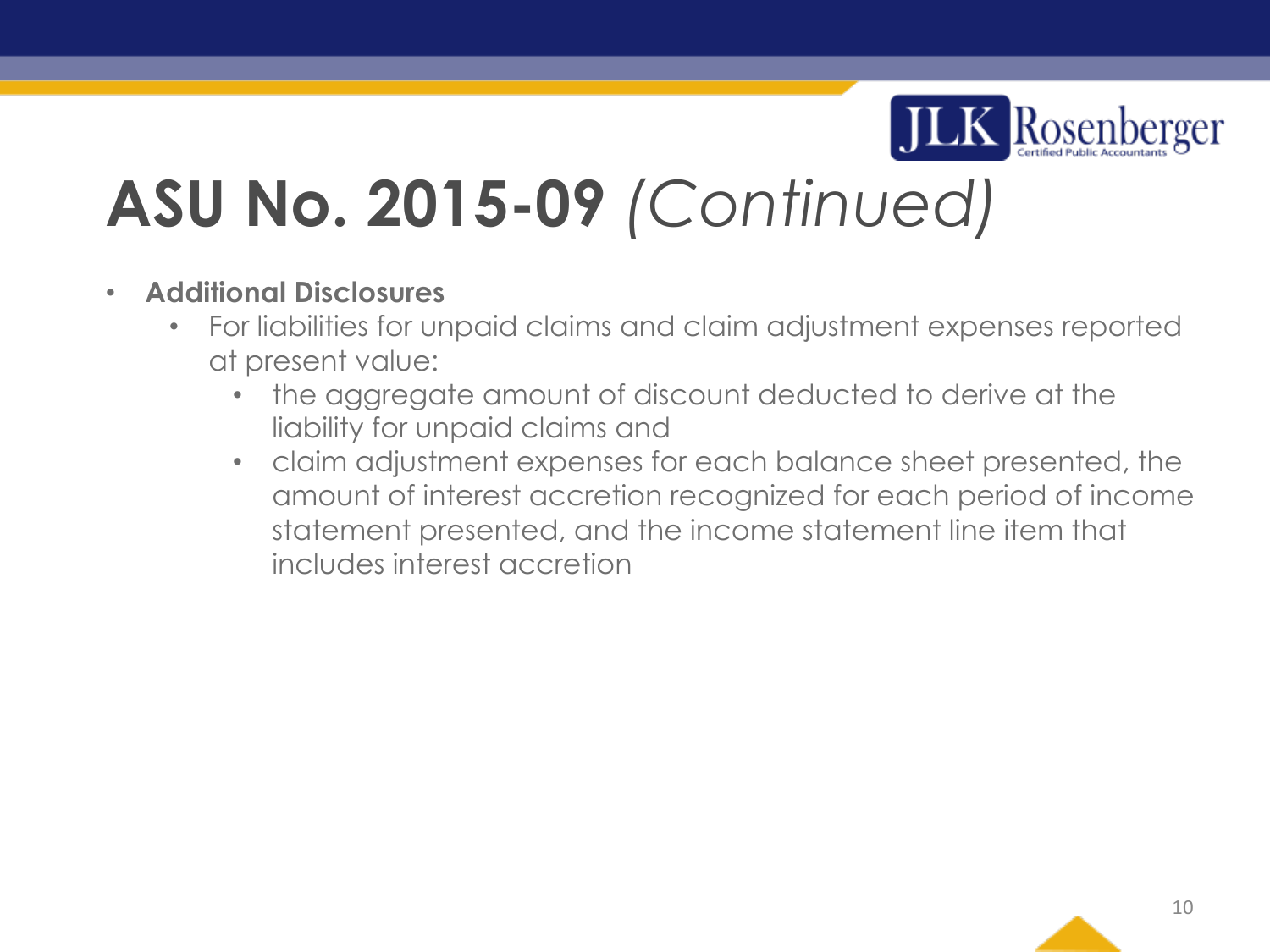

- **Additional Disclosures**
	- For liabilities for unpaid claims and claim adjustment expenses reported at present value:
		- the aggregate amount of discount deducted to derive at the liability for unpaid claims and
		- claim adjustment expenses for each balance sheet presented, the amount of interest accretion recognized for each period of income statement presented, and the income statement line item that includes interest accretion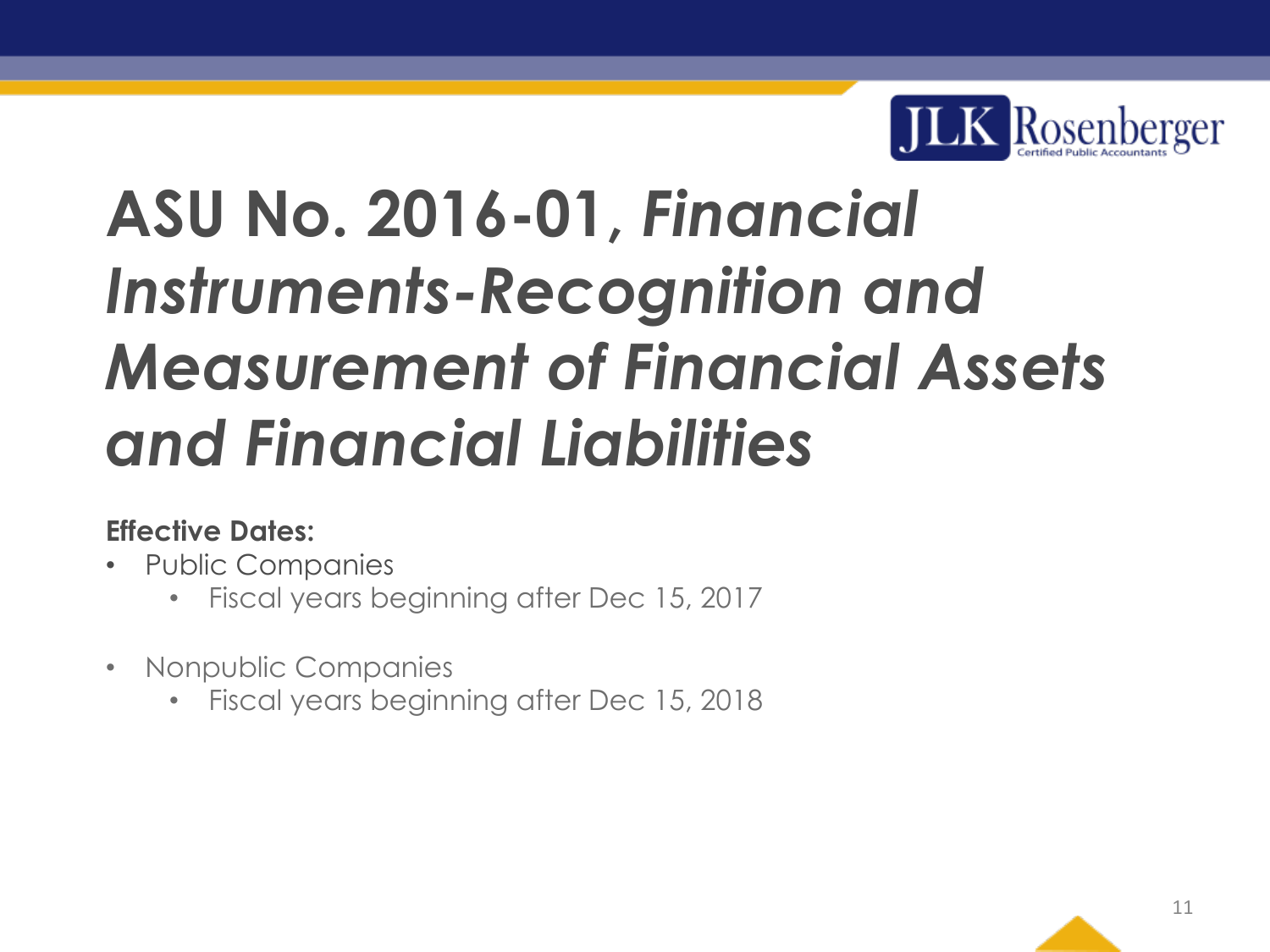

# **ASU No. 2016-01,** *Financial Instruments-Recognition and Measurement of Financial Assets and Financial Liabilities*

#### **Effective Dates:**

- Public Companies
	- Fiscal years beginning after Dec 15, 2017
- Nonpublic Companies
	- Fiscal years beginning after Dec 15, 2018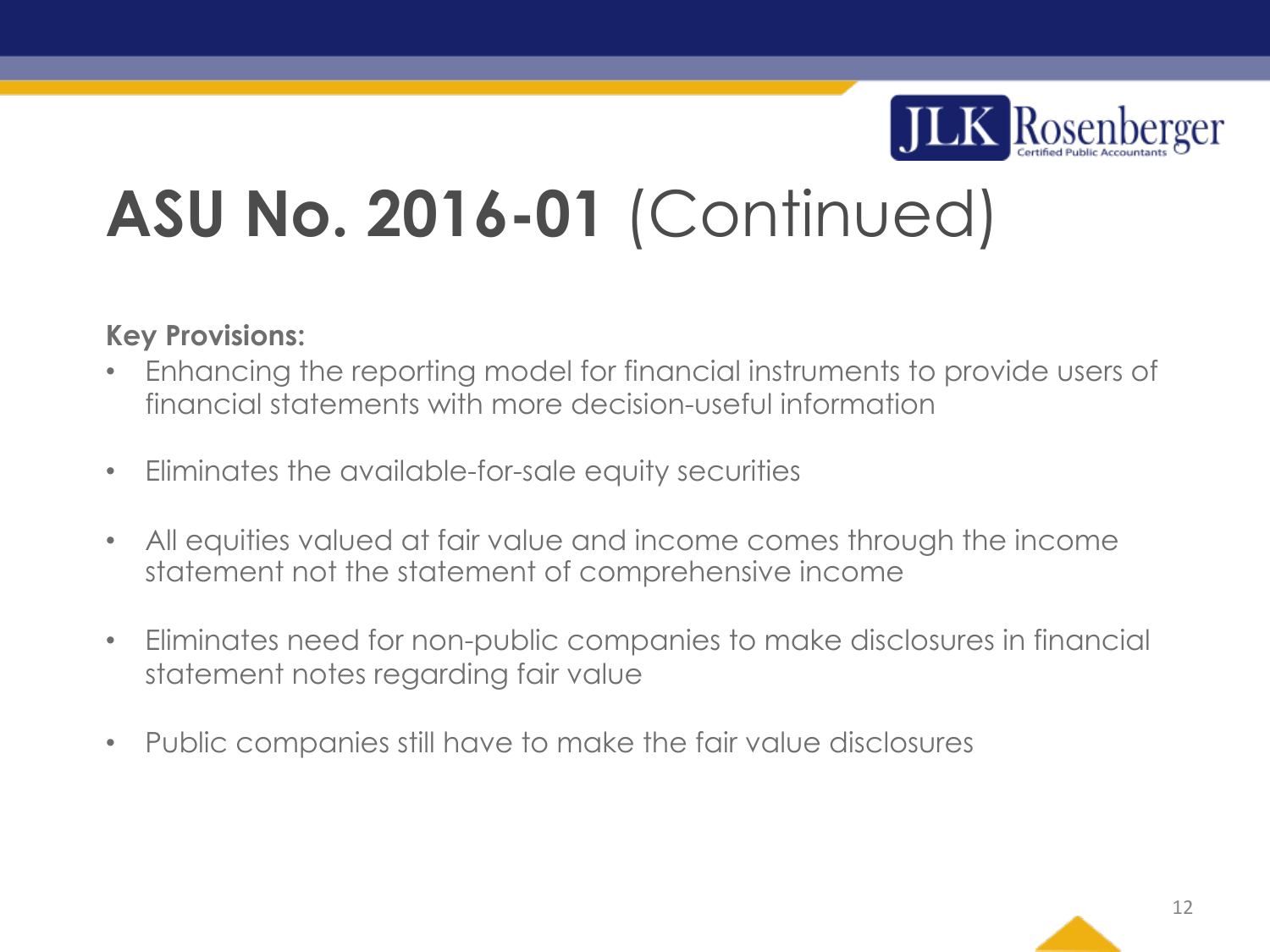

#### **Key Provisions:**

- Enhancing the reporting model for financial instruments to provide users of financial statements with more decision-useful information
- Eliminates the available-for-sale equity securities
- All equities valued at fair value and income comes through the income statement not the statement of comprehensive income
- Eliminates need for non-public companies to make disclosures in financial statement notes regarding fair value
- Public companies still have to make the fair value disclosures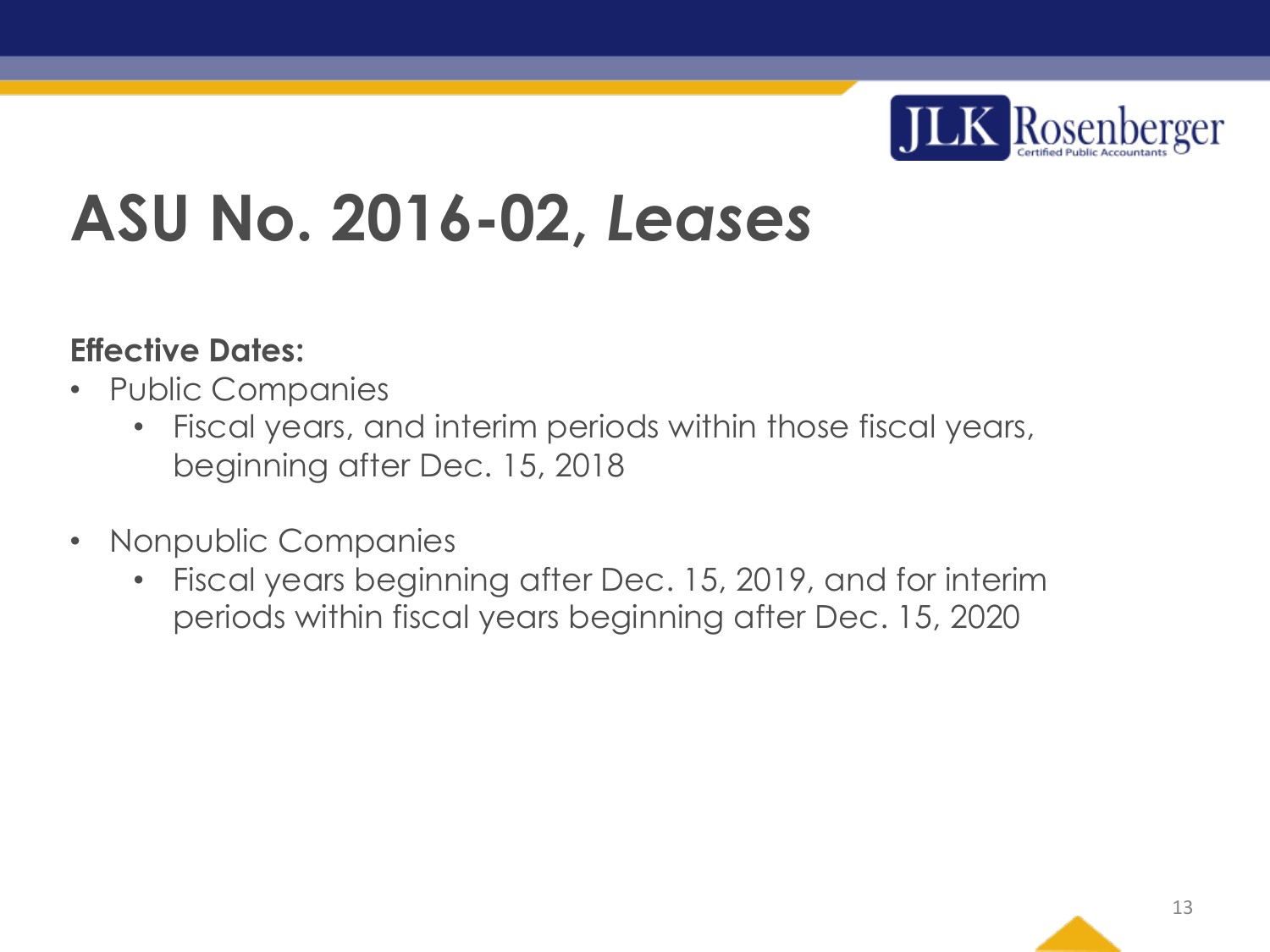

### **ASU No. 2016-02,** *Leases*

#### **Effective Dates:**

- Public Companies
	- Fiscal years, and interim periods within those fiscal years, beginning after Dec. 15, 2018
- Nonpublic Companies
	- Fiscal years beginning after Dec. 15, 2019, and for interim periods within fiscal years beginning after Dec. 15, 2020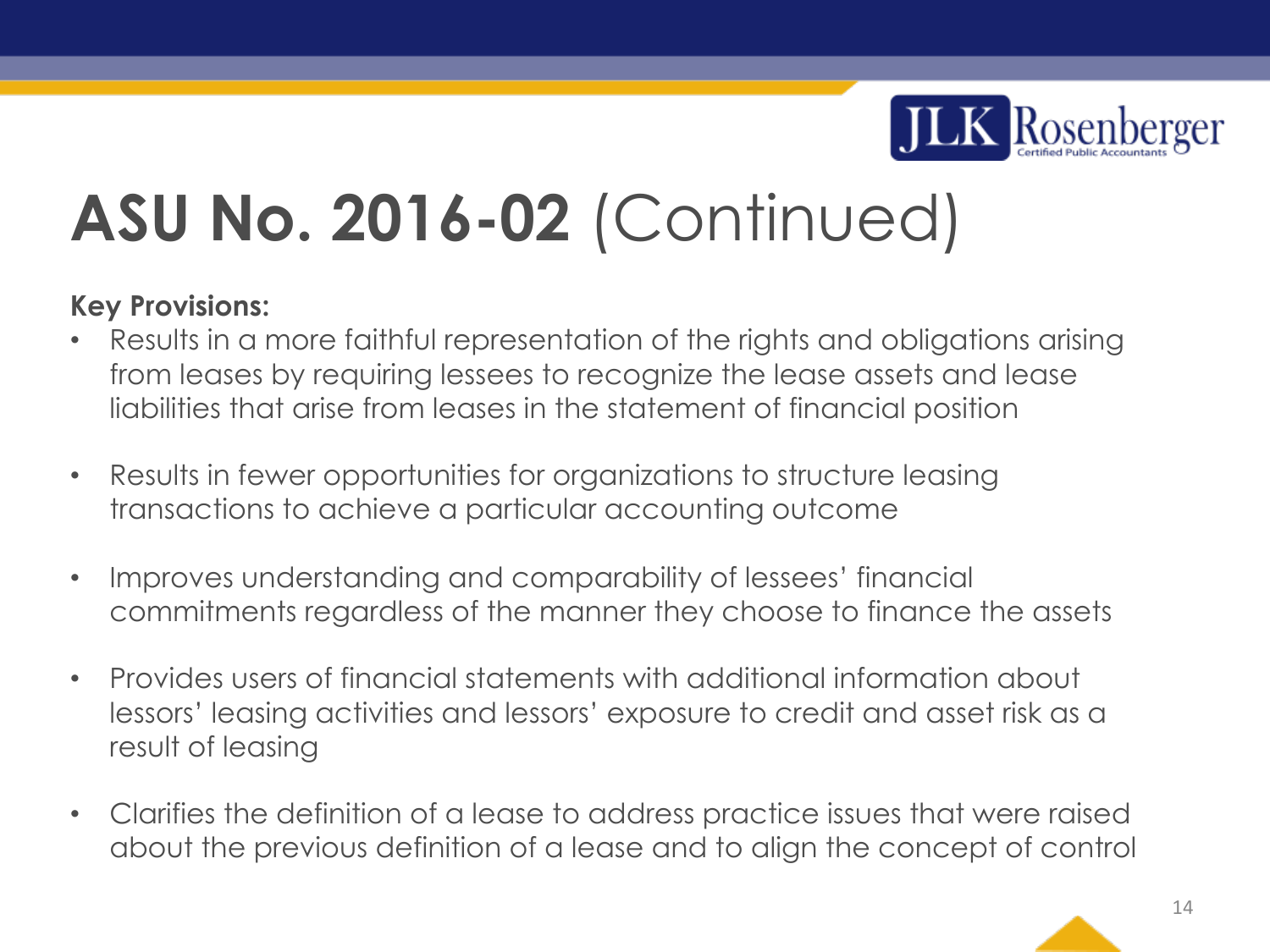

#### **Key Provisions:**

- Results in a more faithful representation of the rights and obligations arising from leases by requiring lessees to recognize the lease assets and lease liabilities that arise from leases in the statement of financial position
- Results in fewer opportunities for organizations to structure leasing transactions to achieve a particular accounting outcome
- Improves understanding and comparability of lessees' financial commitments regardless of the manner they choose to finance the assets
- Provides users of financial statements with additional information about lessors' leasing activities and lessors' exposure to credit and asset risk as a result of leasing
- Clarifies the definition of a lease to address practice issues that were raised about the previous definition of a lease and to align the concept of control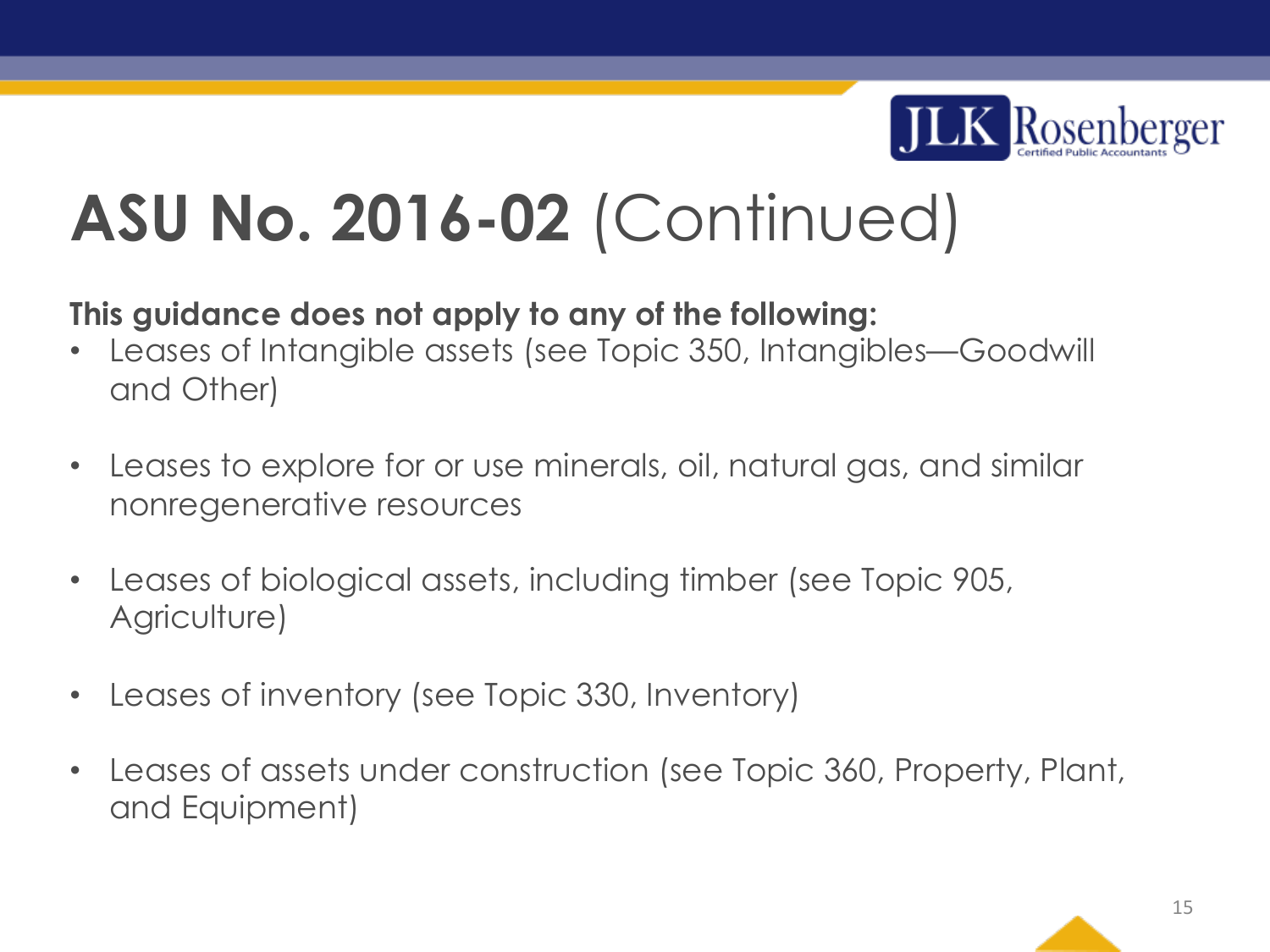

#### **This guidance does not apply to any of the following:**

- Leases of Intangible assets (see Topic 350, Intangibles—Goodwill and Other)
- Leases to explore for or use minerals, oil, natural gas, and similar nonregenerative resources
- Leases of biological assets, including timber (see Topic 905, Agriculture)
- Leases of inventory (see Topic 330, Inventory)
- Leases of assets under construction (see Topic 360, Property, Plant, and Equipment)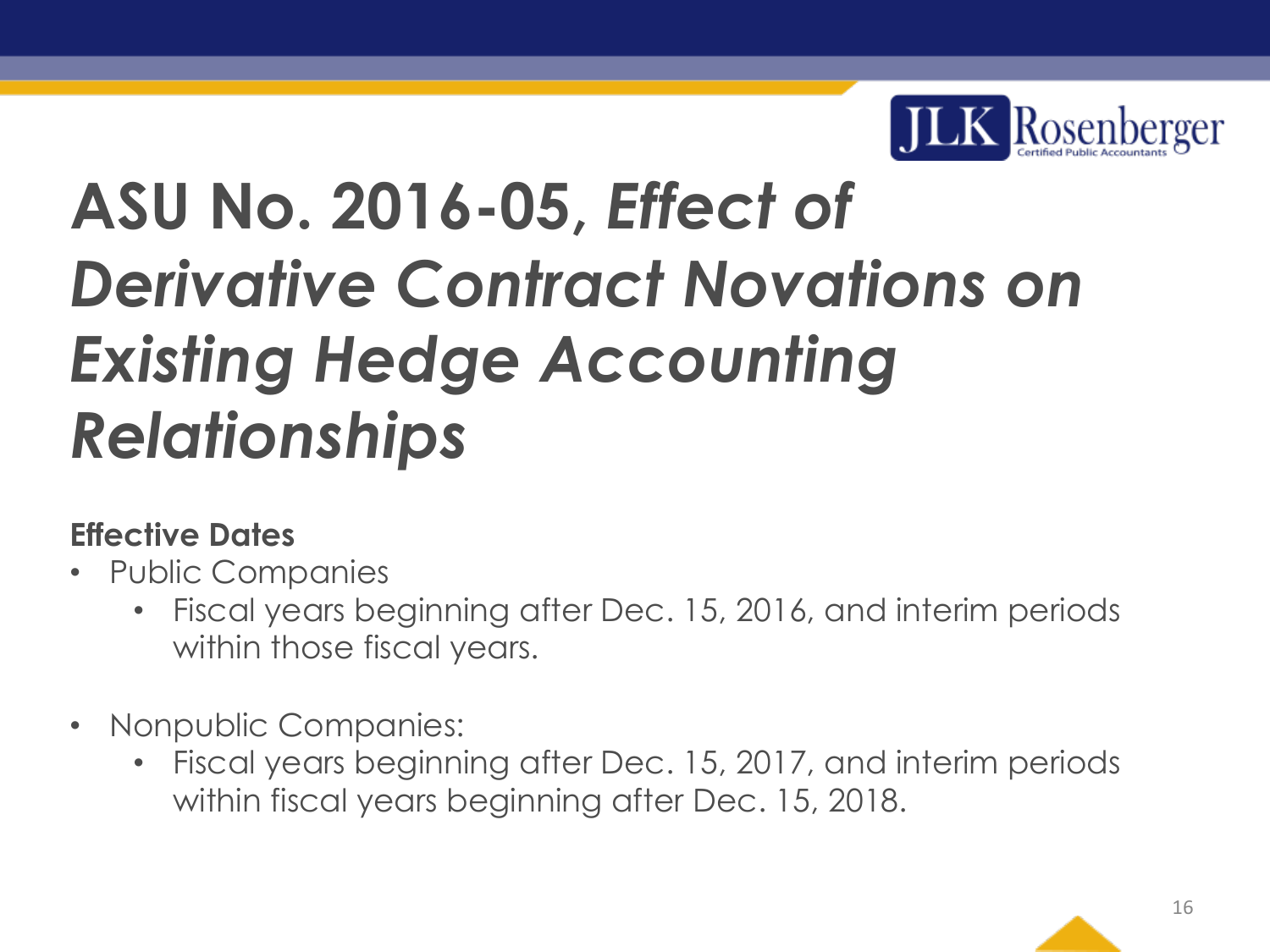

# **ASU No. 2016-05,** *Effect of Derivative Contract Novations on Existing Hedge Accounting Relationships*

### **Effective Dates**

- Public Companies
	- Fiscal years beginning after Dec. 15, 2016, and interim periods within those fiscal years.
- Nonpublic Companies:
	- Fiscal years beginning after Dec. 15, 2017, and interim periods within fiscal years beginning after Dec. 15, 2018.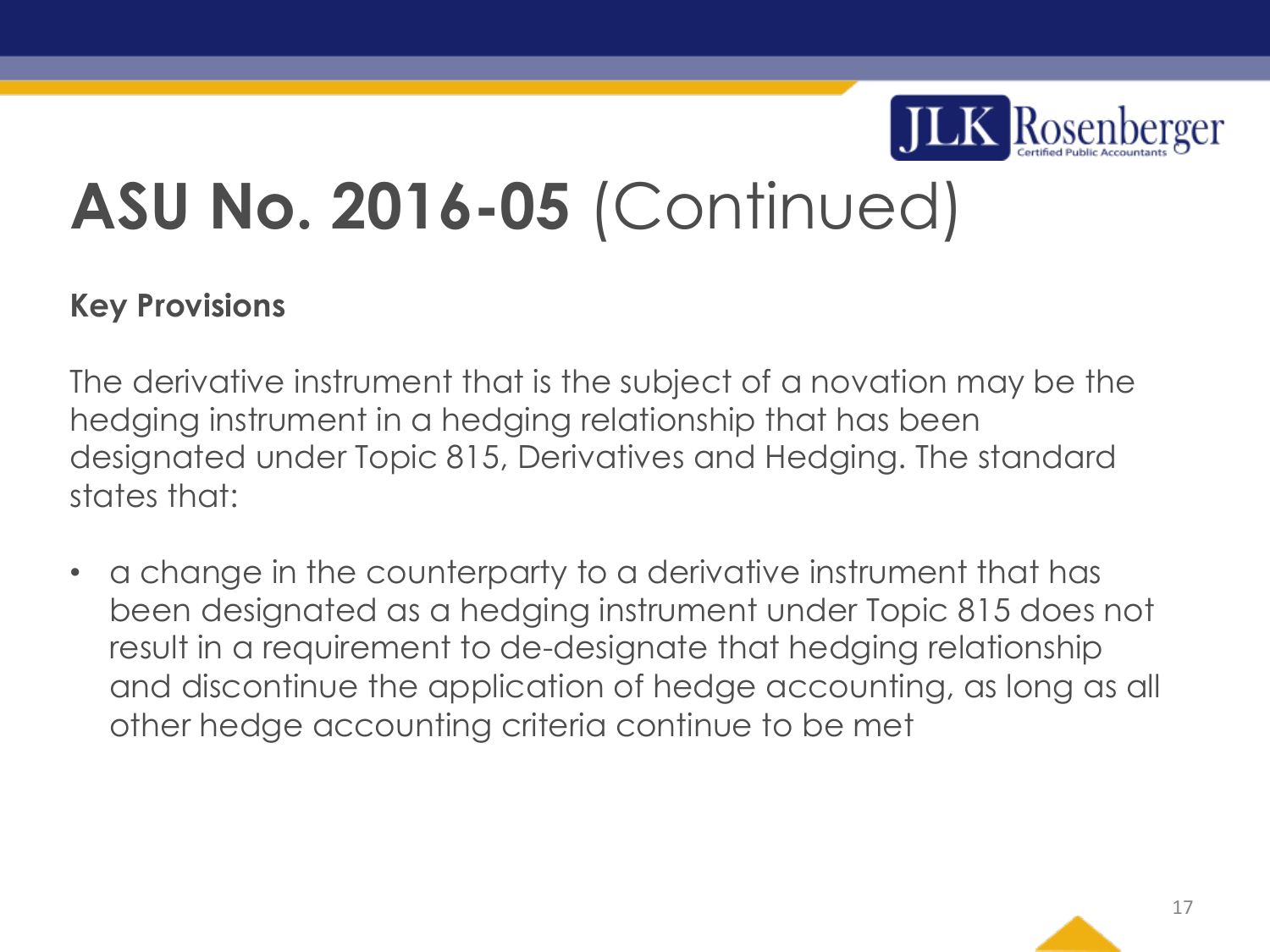

### **Key Provisions**

The derivative instrument that is the subject of a novation may be the hedging instrument in a hedging relationship that has been designated under Topic 815, Derivatives and Hedging. The standard states that:

• a change in the counterparty to a derivative instrument that has been designated as a hedging instrument under Topic 815 does not result in a requirement to de-designate that hedging relationship and discontinue the application of hedge accounting, as long as all other hedge accounting criteria continue to be met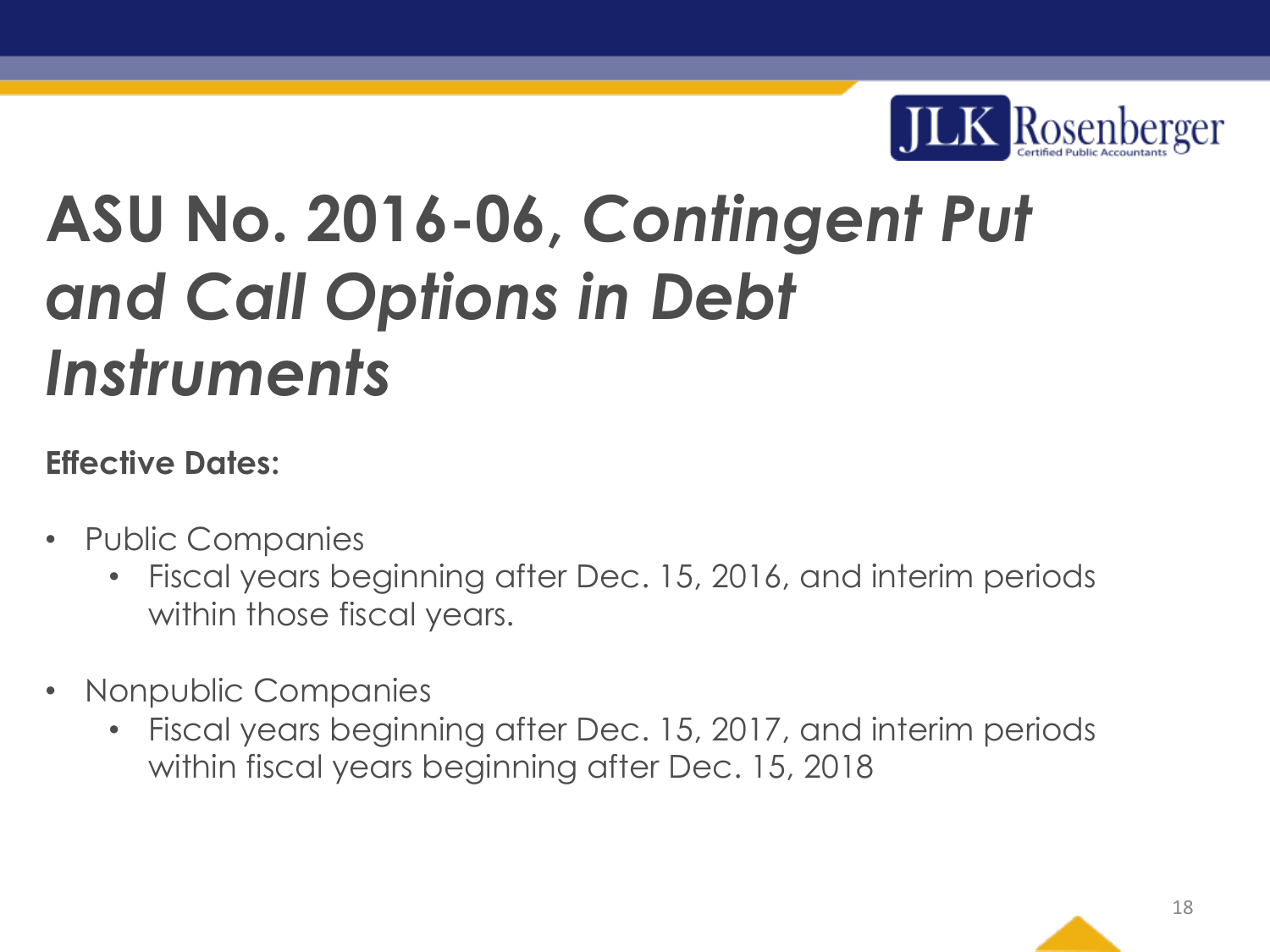

## **ASU No. 2016-06,** *Contingent Put and Call Options in Debt Instruments*

### **Effective Dates:**

- Public Companies
	- Fiscal years beginning after Dec. 15, 2016, and interim periods within those fiscal years.
- Nonpublic Companies
	- Fiscal years beginning after Dec. 15, 2017, and interim periods within fiscal years beginning after Dec. 15, 2018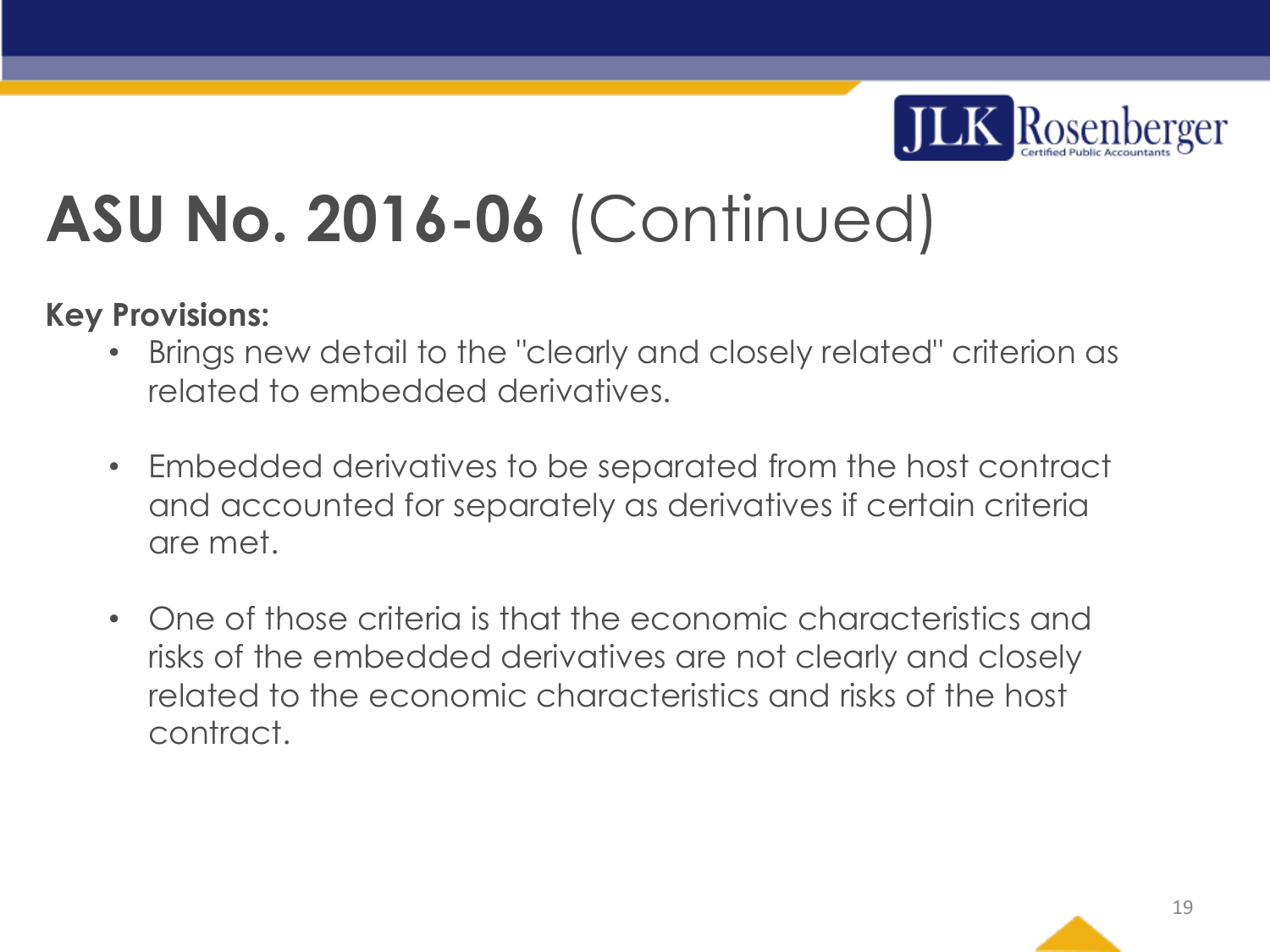

#### **Key Provisions:**

- Brings new detail to the "clearly and closely related" criterion as related to embedded derivatives.
- Embedded derivatives to be separated from the host contract and accounted for separately as derivatives if certain criteria are met.
- One of those criteria is that the economic characteristics and risks of the embedded derivatives are not clearly and closely related to the economic characteristics and risks of the host contract.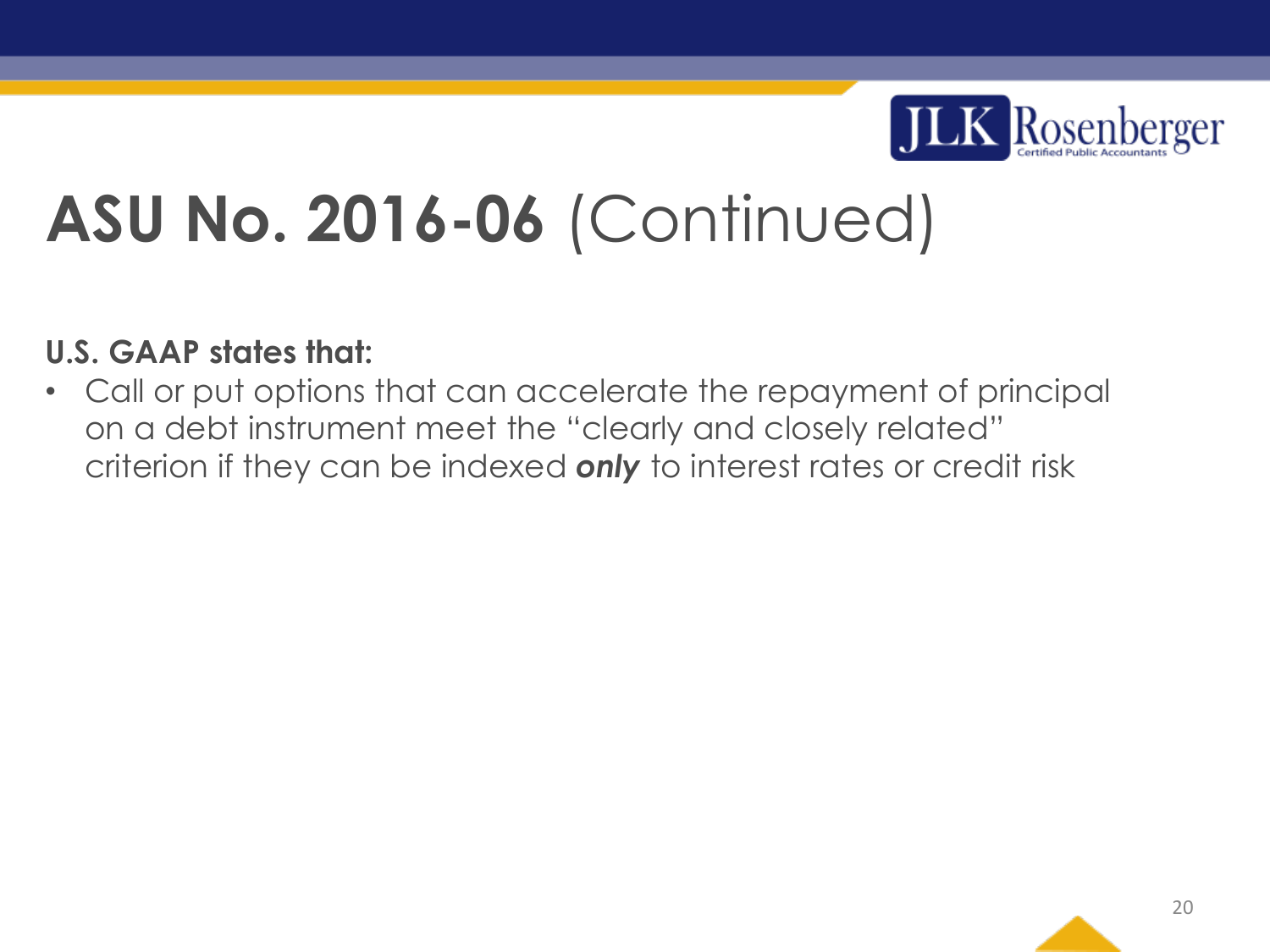

#### **U.S. GAAP states that:**

• Call or put options that can accelerate the repayment of principal on a debt instrument meet the "clearly and closely related" criterion if they can be indexed *only* to interest rates or credit risk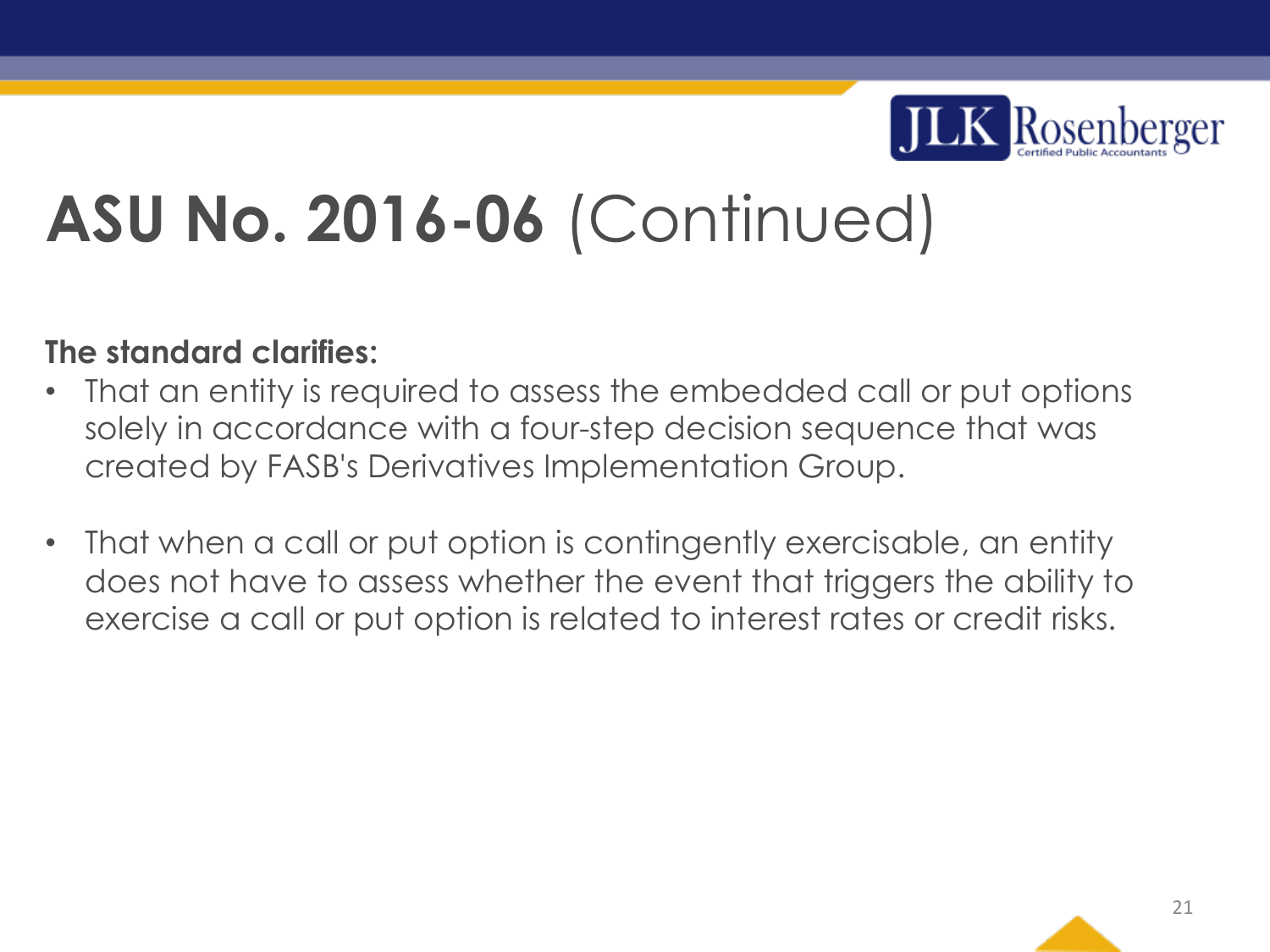

#### **The standard clarifies:**

- That an entity is required to assess the embedded call or put options solely in accordance with a four-step decision sequence that was created by FASB's Derivatives Implementation Group.
- That when a call or put option is contingently exercisable, an entity does not have to assess whether the event that triggers the ability to exercise a call or put option is related to interest rates or credit risks.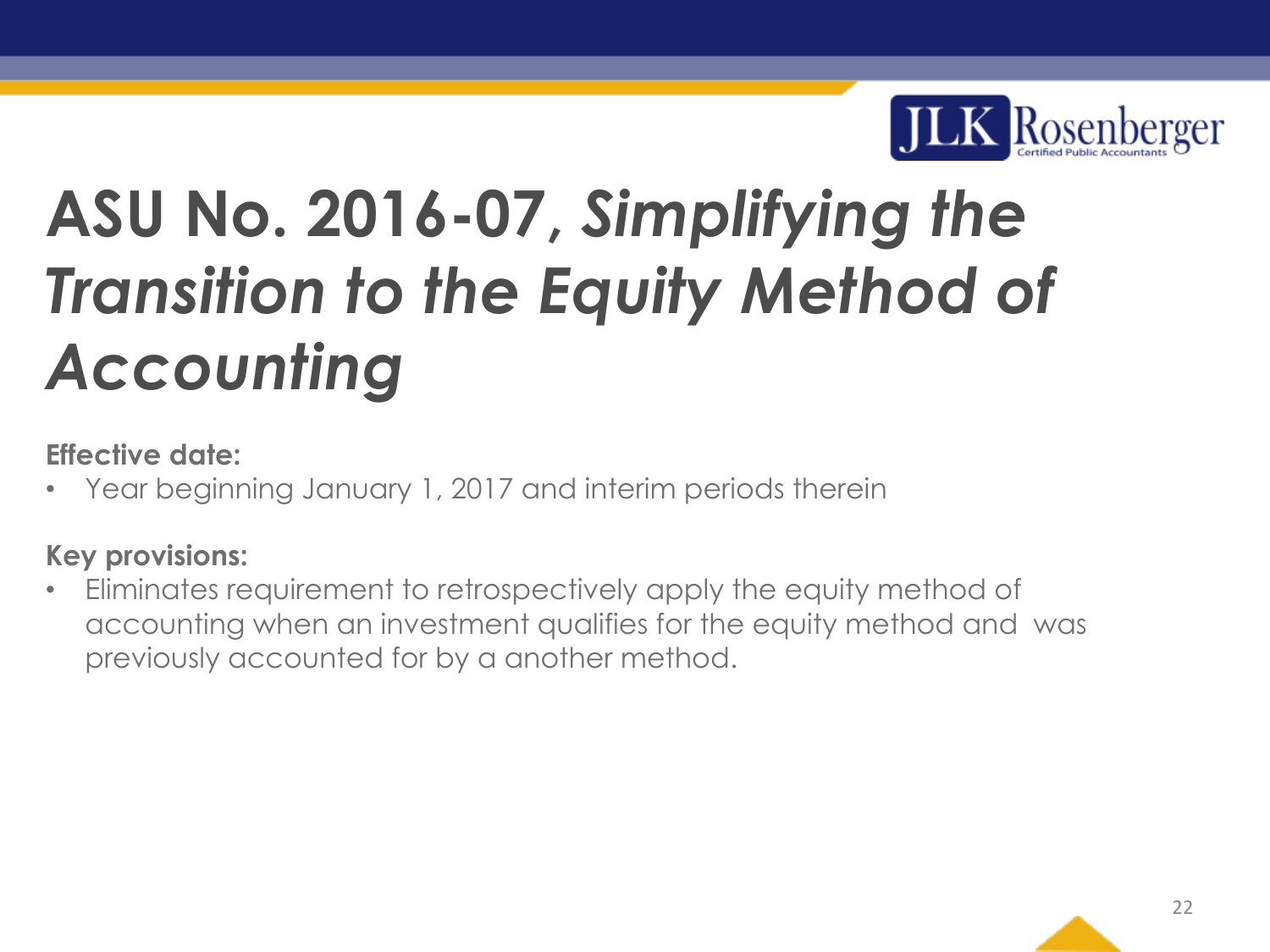

# **ASU No. 2016-07,** *Simplifying the Transition to the Equity Method of Accounting*

#### **Effective date:**

Year beginning January 1, 2017 and interim periods therein

#### **Key provisions:**

• Eliminates requirement to retrospectively apply the equity method of accounting when an investment qualifies for the equity method and was previously accounted for by a another method.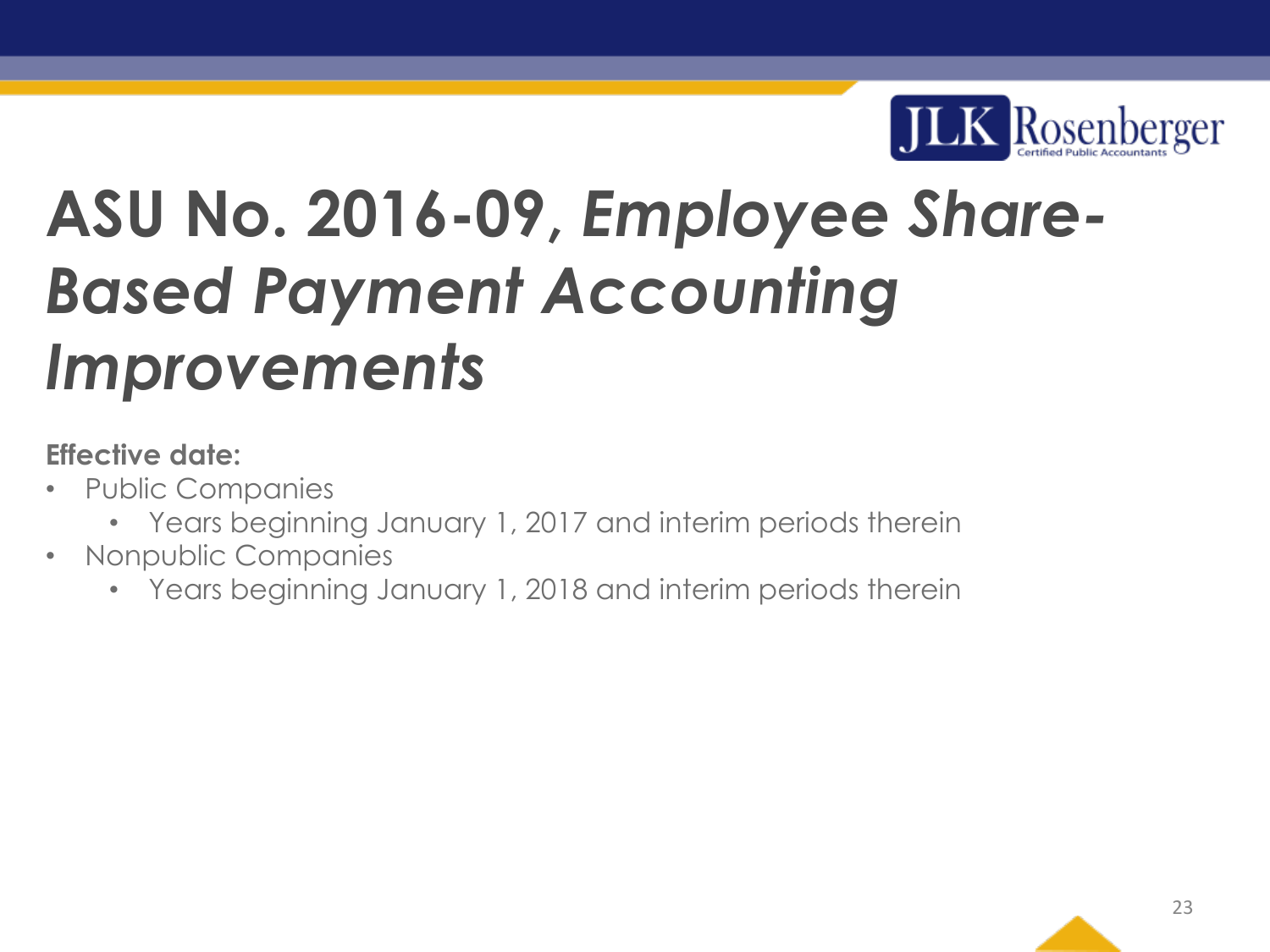

# **ASU No. 2016-09,** *Employee Share-Based Payment Accounting Improvements*

#### **Effective date:**

- Public Companies
	- Years beginning January 1, 2017 and interim periods therein
- Nonpublic Companies
	- Years beginning January 1, 2018 and interim periods therein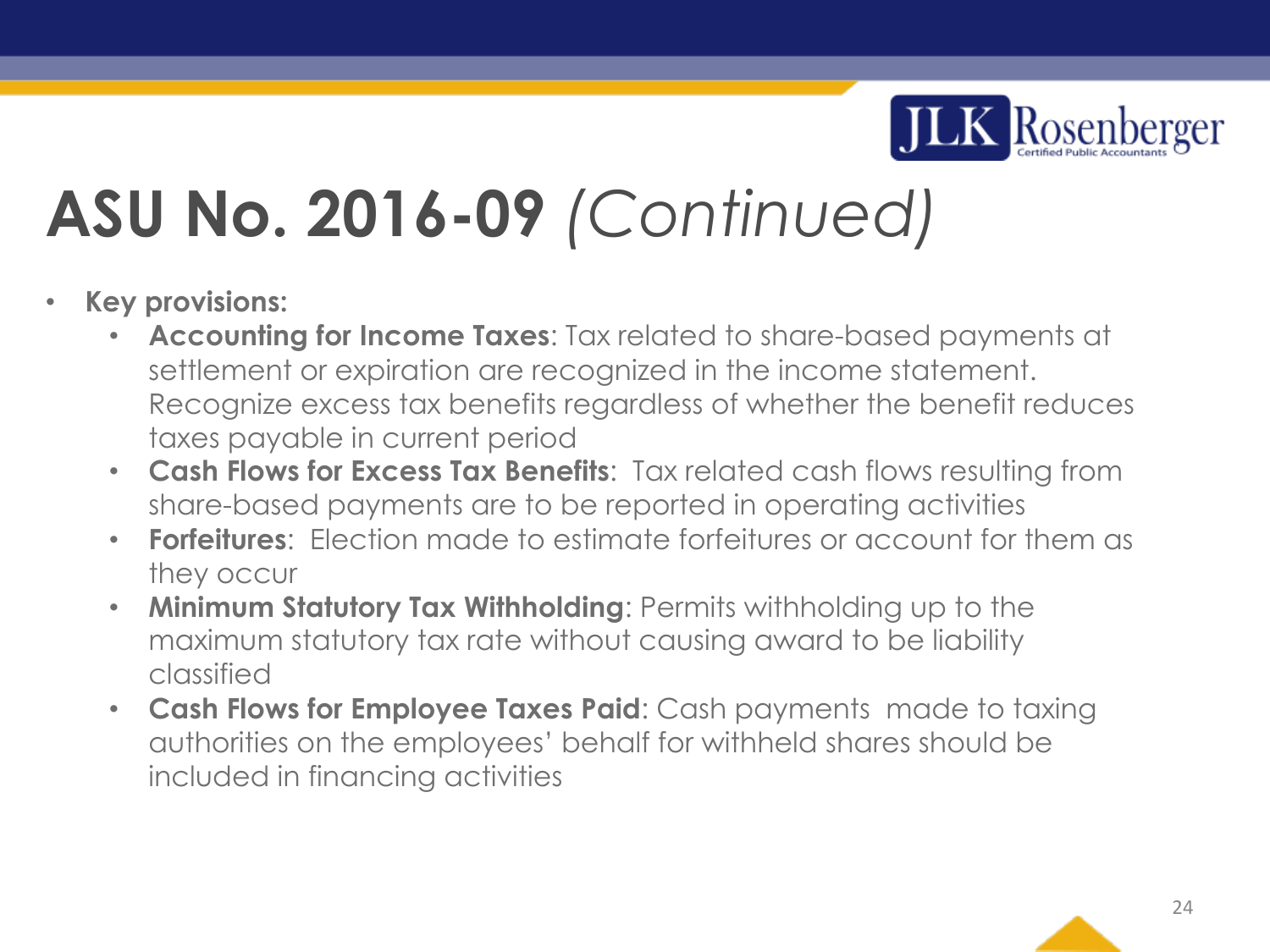

- **Key provisions:**
	- **Accounting for Income Taxes**: Tax related to share-based payments at settlement or expiration are recognized in the income statement. Recognize excess tax benefits regardless of whether the benefit reduces taxes payable in current period
	- **Cash Flows for Excess Tax Benefits**: Tax related cash flows resulting from share-based payments are to be reported in operating activities
	- **Forfeitures**: Election made to estimate forfeitures or account for them as they occur
	- **Minimum Statutory Tax Withholding**: Permits withholding up to the maximum statutory tax rate without causing award to be liability classified
	- **Cash Flows for Employee Taxes Paid**: Cash payments made to taxing authorities on the employees' behalf for withheld shares should be included in financing activities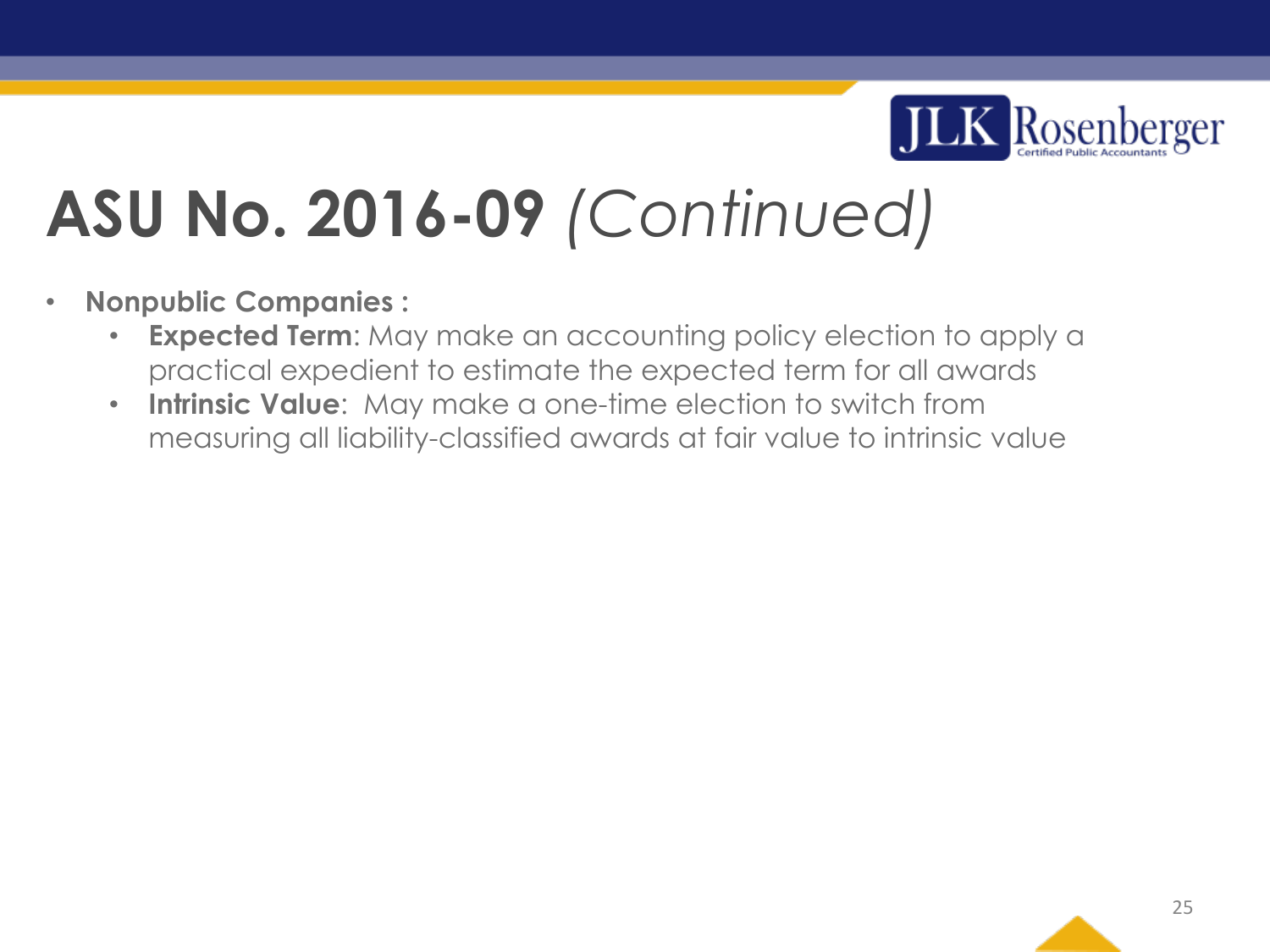

- **Nonpublic Companies :**
	- **Expected Term**: May make an accounting policy election to apply a practical expedient to estimate the expected term for all awards
	- **Intrinsic Value**: May make a one-time election to switch from measuring all liability-classified awards at fair value to intrinsic value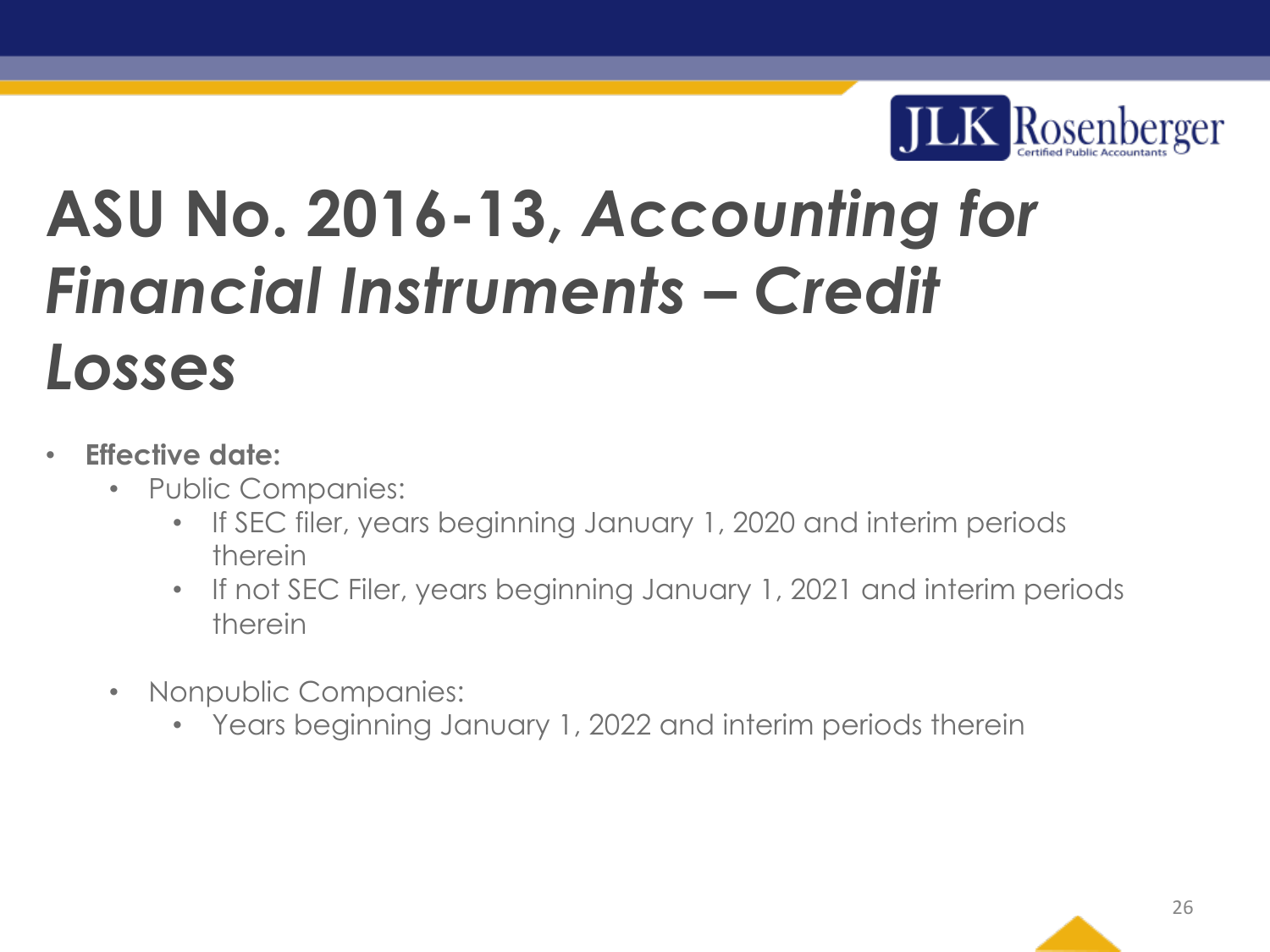

### **ASU No. 2016-13,** *Accounting for Financial Instruments – Credit Losses*

- **Effective date:**
	- Public Companies:
		- If SEC filer, years beginning January 1, 2020 and interim periods therein
		- If not SEC Filer, years beginning January 1, 2021 and interim periods therein
	- Nonpublic Companies:
		- Years beginning January 1, 2022 and interim periods therein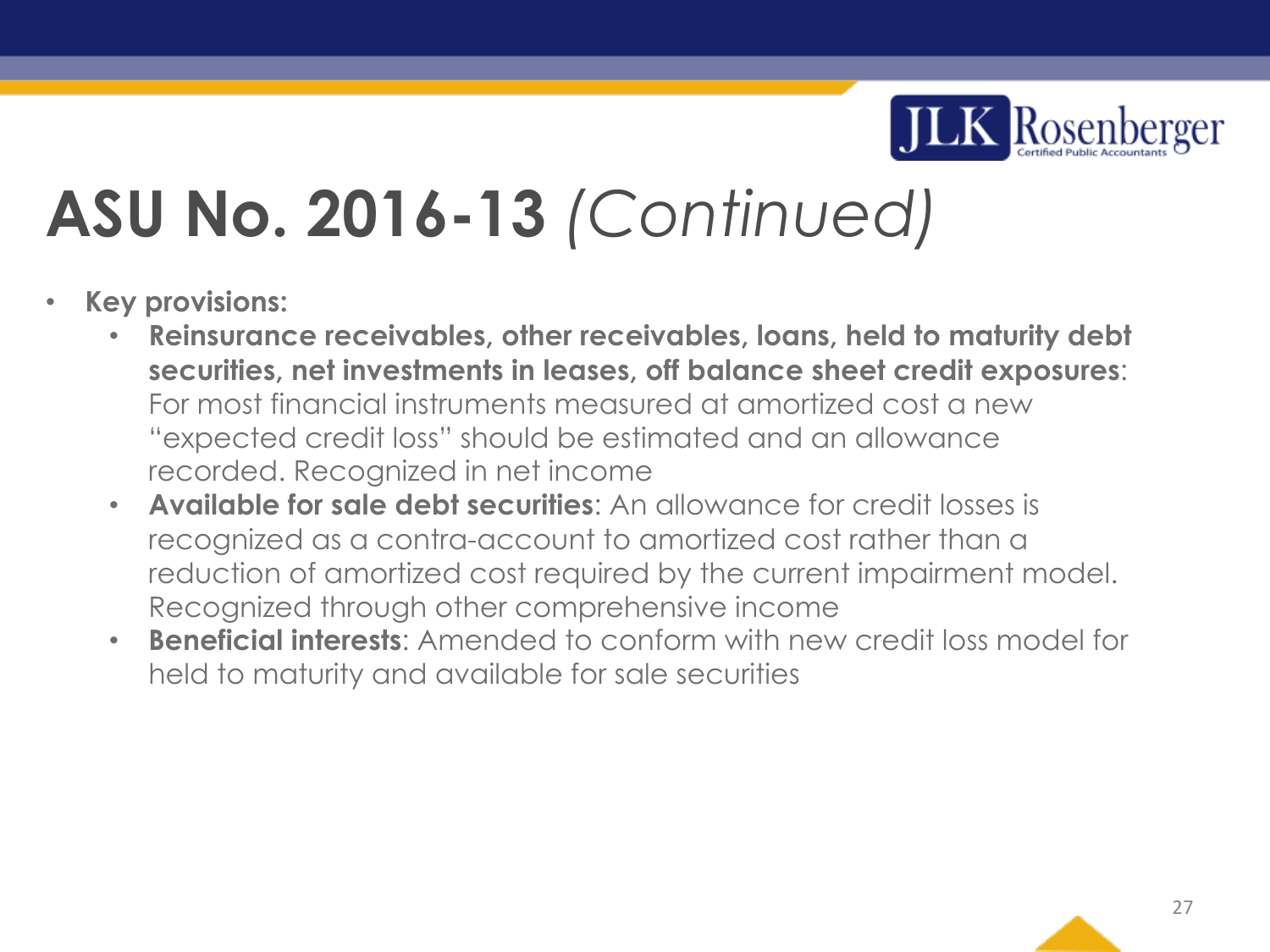

- **Key provisions:**
	- **Reinsurance receivables, other receivables, loans, held to maturity debt securities, net investments in leases, off balance sheet credit exposures**: For most financial instruments measured at amortized cost a new "expected credit loss" should be estimated and an allowance recorded. Recognized in net income
	- **Available for sale debt securities**: An allowance for credit losses is recognized as a contra-account to amortized cost rather than a reduction of amortized cost required by the current impairment model. Recognized through other comprehensive income
	- **Beneficial interests**: Amended to conform with new credit loss model for held to maturity and available for sale securities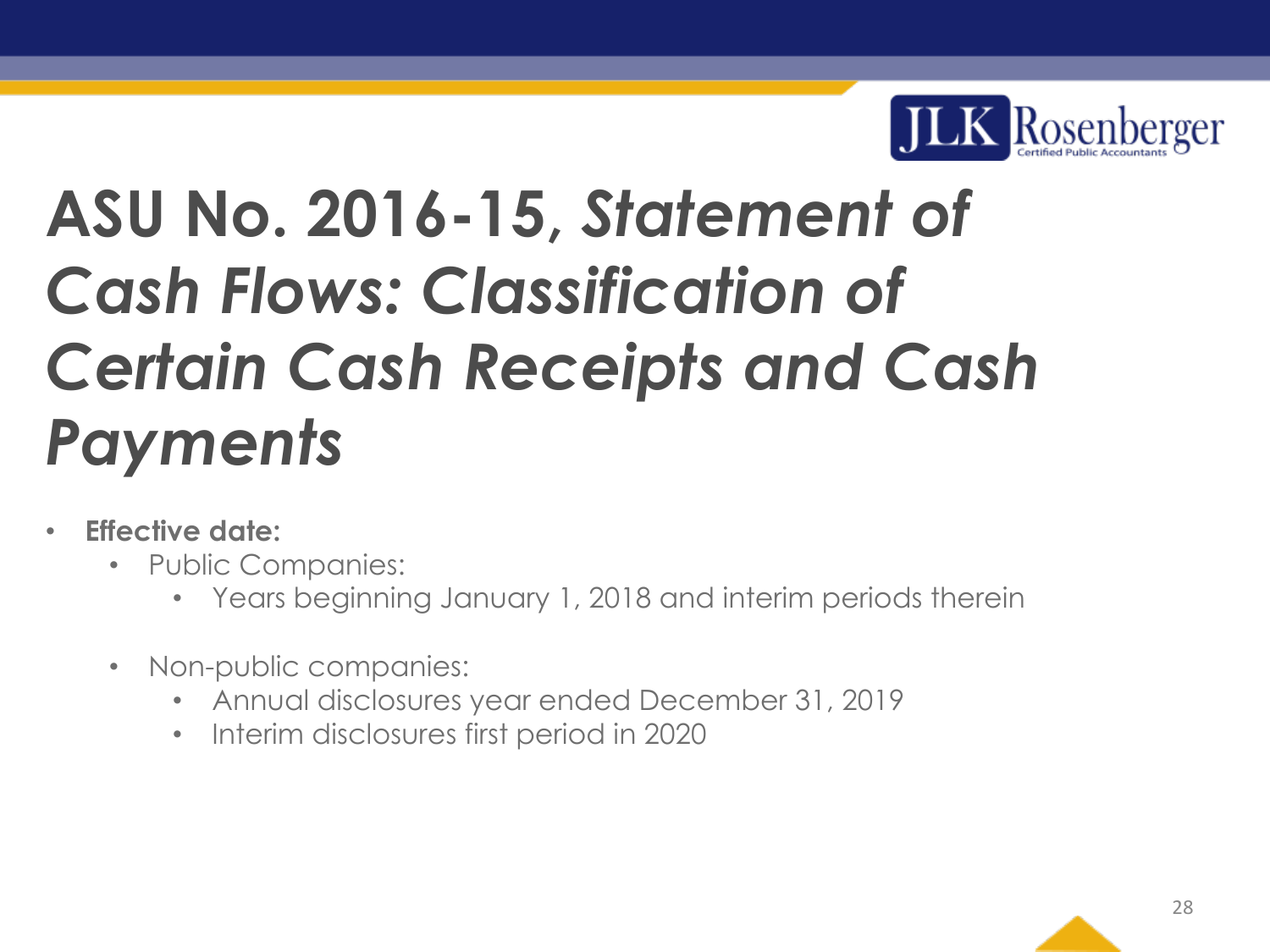

# **ASU No. 2016-15,** *Statement of Cash Flows: Classification of Certain Cash Receipts and Cash Payments*

- **Effective date:**
	- Public Companies:
		- Years beginning January 1, 2018 and interim periods therein
	- Non-public companies:
		- Annual disclosures year ended December 31, 2019
		- Interim disclosures first period in 2020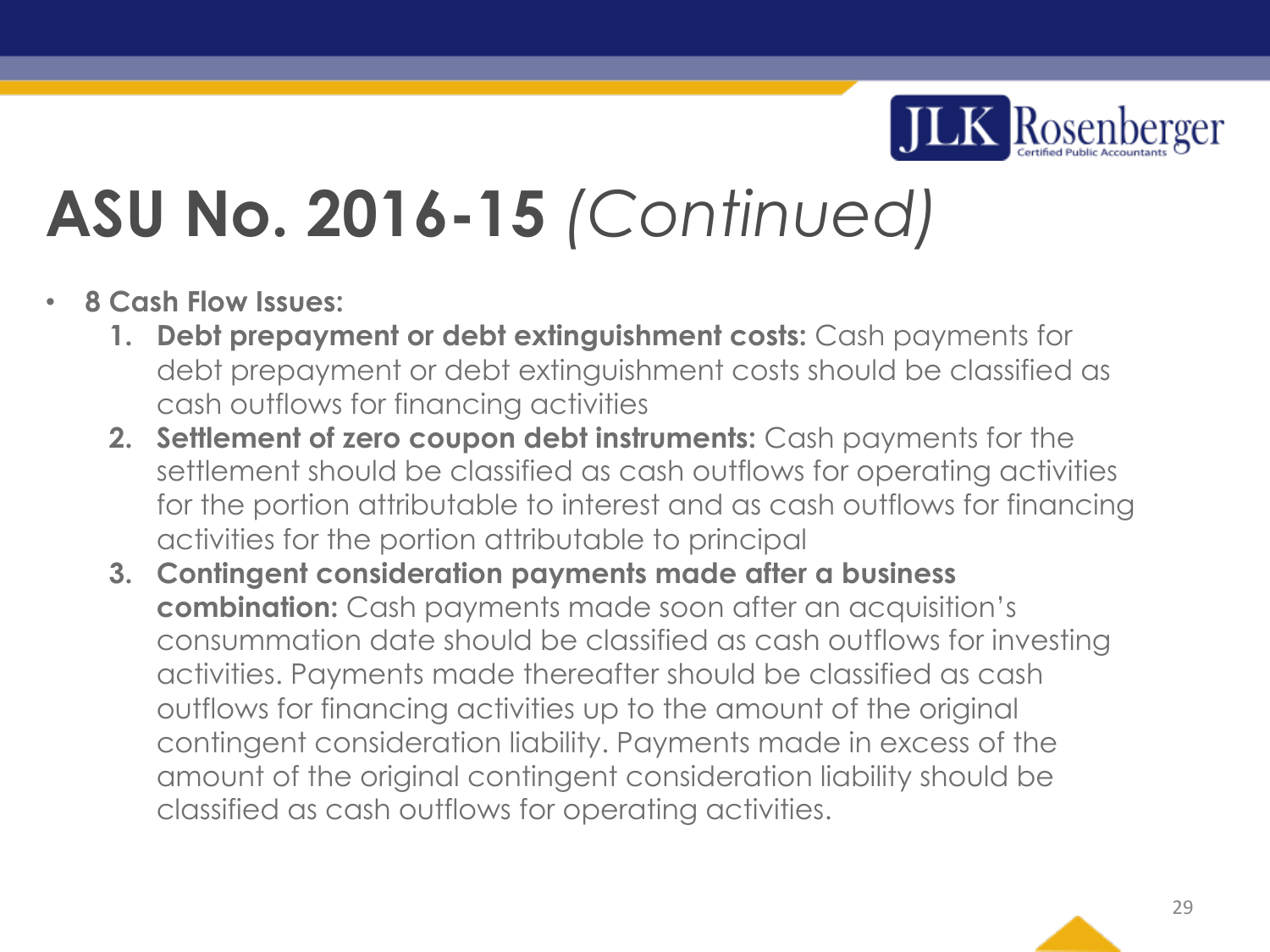

- **8 Cash Flow Issues:**
	- **1. Debt prepayment or debt extinguishment costs:** Cash payments for debt prepayment or debt extinguishment costs should be classified as cash outflows for financing activities
	- **2. Settlement of zero coupon debt instruments:** Cash payments for the settlement should be classified as cash outflows for operating activities for the portion attributable to interest and as cash outflows for financing activities for the portion attributable to principal
	- **3. Contingent consideration payments made after a business combination:** Cash payments made soon after an acquisition's consummation date should be classified as cash outflows for investing activities. Payments made thereafter should be classified as cash outflows for financing activities up to the amount of the original contingent consideration liability. Payments made in excess of the amount of the original contingent consideration liability should be classified as cash outflows for operating activities.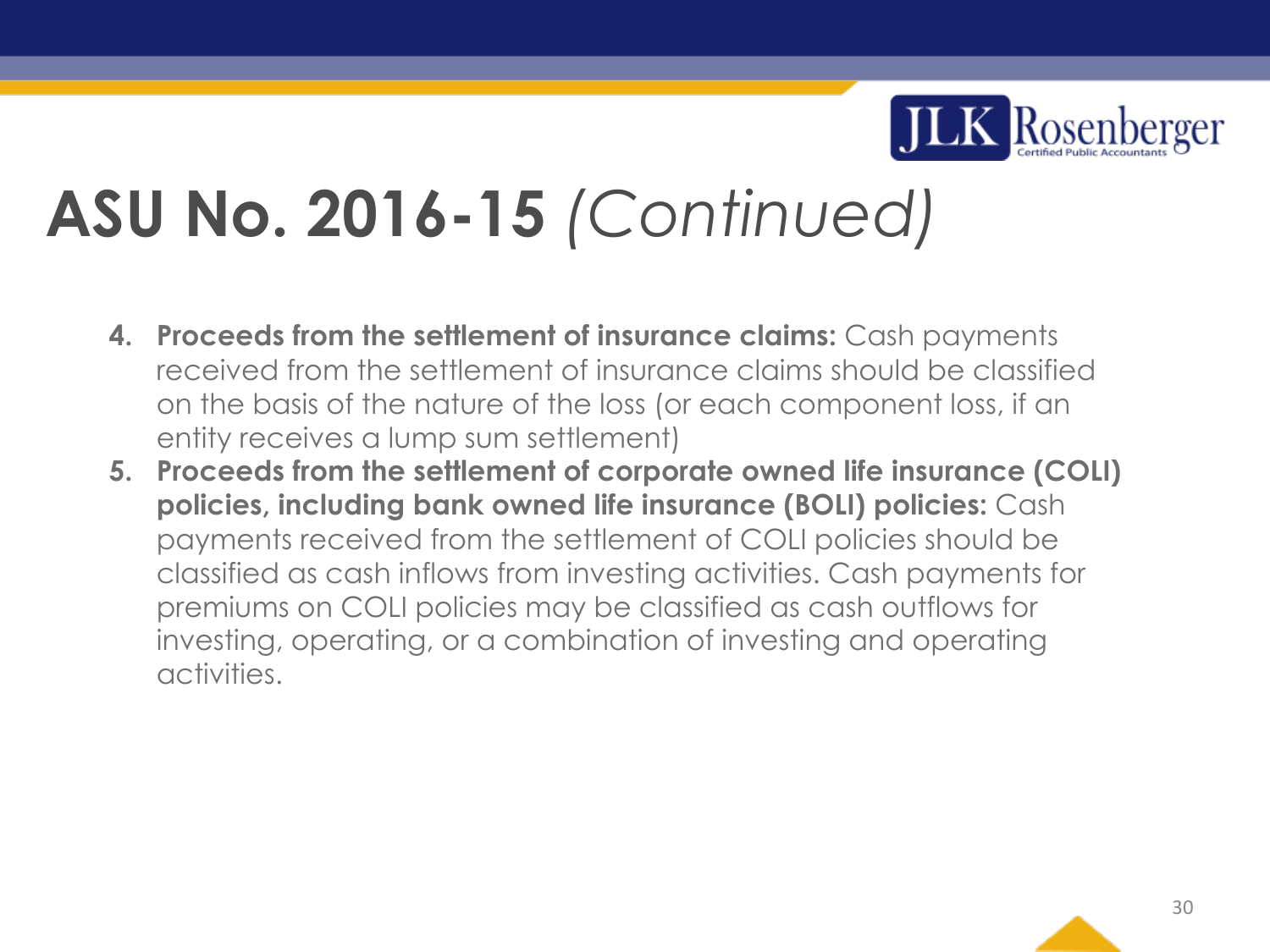

- **4. Proceeds from the settlement of insurance claims:** Cash payments received from the settlement of insurance claims should be classified on the basis of the nature of the loss (or each component loss, if an entity receives a lump sum settlement)
- **5. Proceeds from the settlement of corporate owned life insurance (COLI) policies, including bank owned life insurance (BOLI) policies:** Cash payments received from the settlement of COLI policies should be classified as cash inflows from investing activities. Cash payments for premiums on COLI policies may be classified as cash outflows for investing, operating, or a combination of investing and operating activities.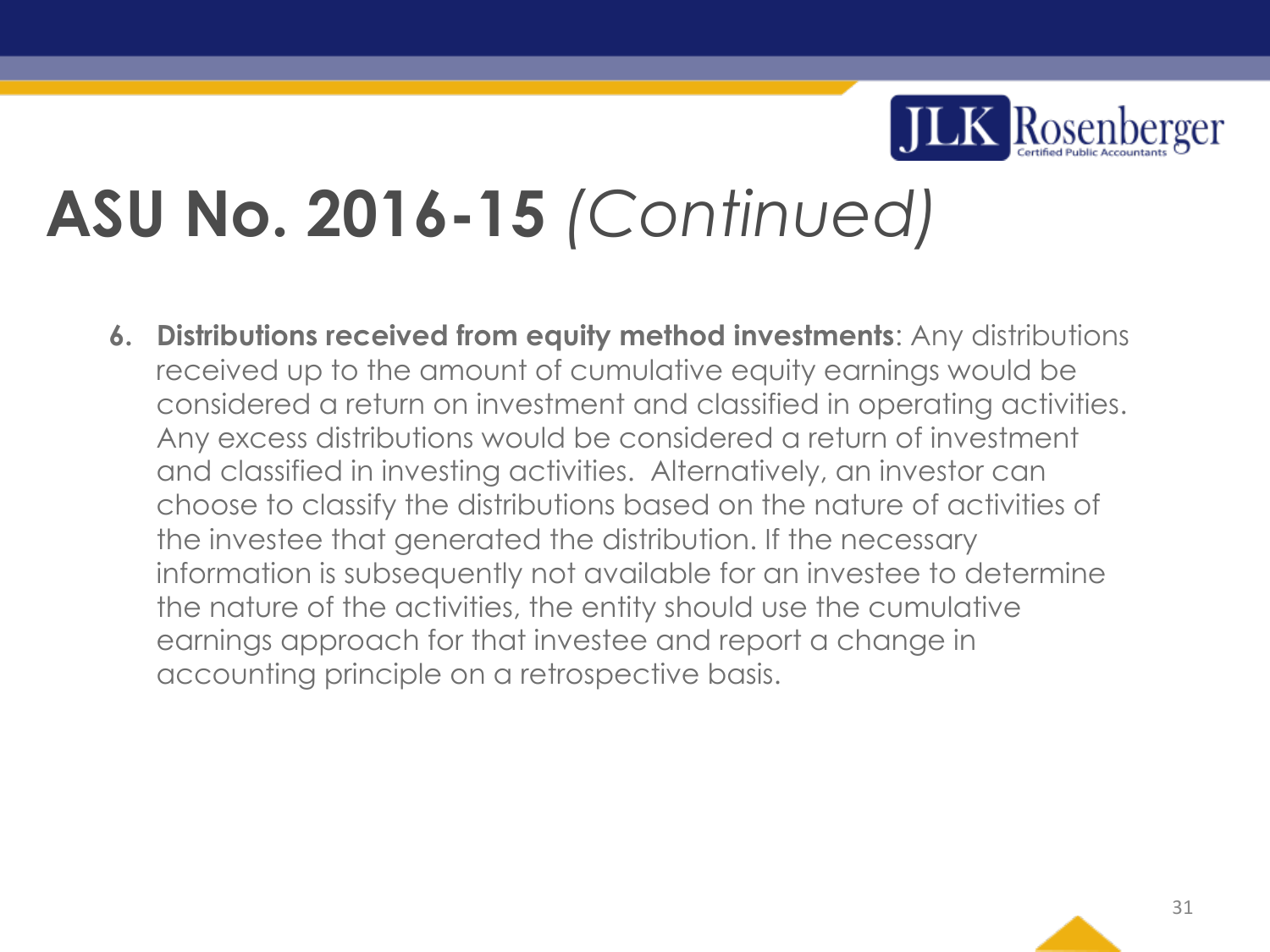

**6. Distributions received from equity method investments**: Any distributions received up to the amount of cumulative equity earnings would be considered a return on investment and classified in operating activities. Any excess distributions would be considered a return of investment and classified in investing activities. Alternatively, an investor can choose to classify the distributions based on the nature of activities of the investee that generated the distribution. If the necessary information is subsequently not available for an investee to determine the nature of the activities, the entity should use the cumulative earnings approach for that investee and report a change in accounting principle on a retrospective basis.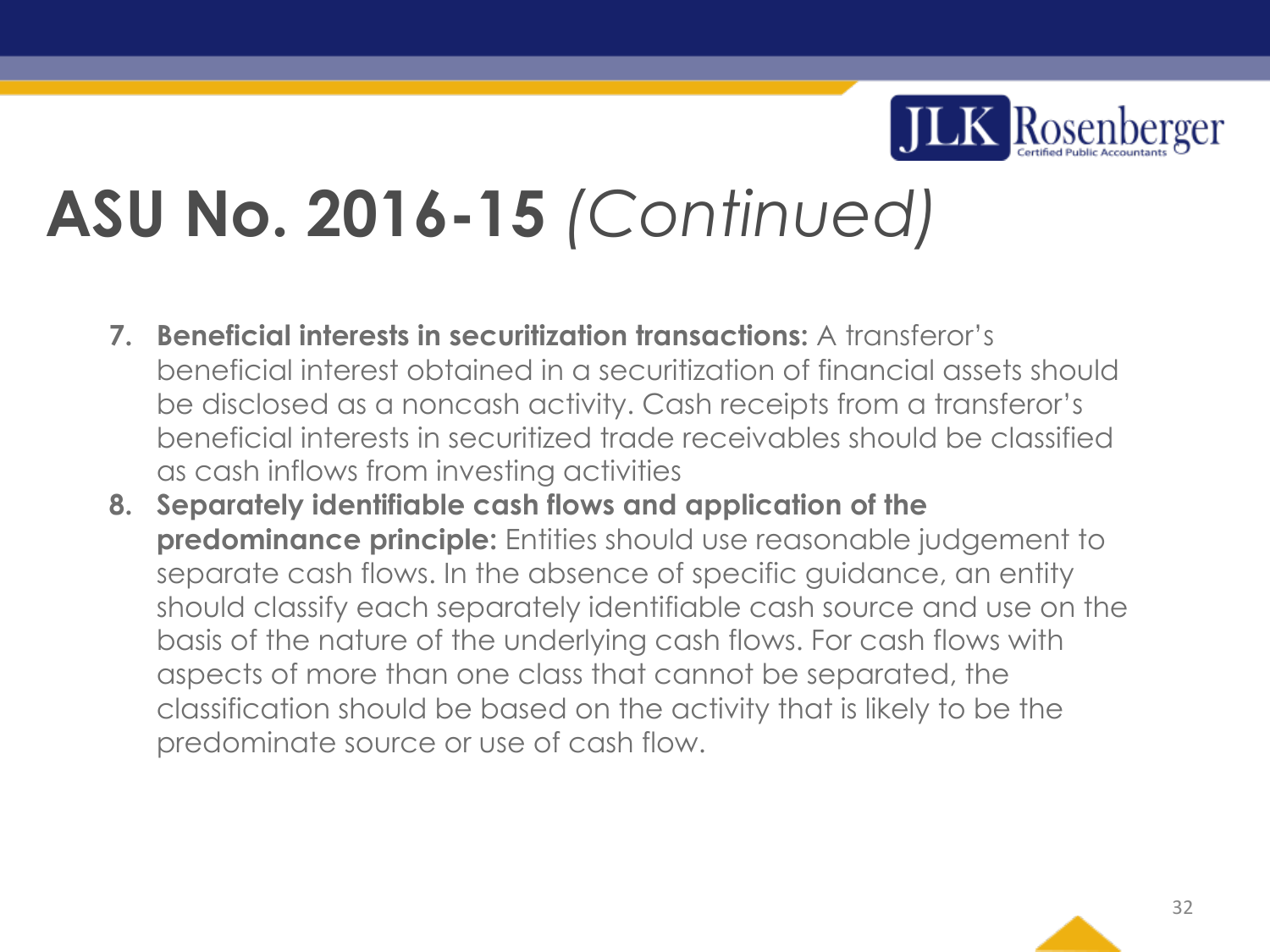

- **7. Beneficial interests in securitization transactions:** A transferor's beneficial interest obtained in a securitization of financial assets should be disclosed as a noncash activity. Cash receipts from a transferor's beneficial interests in securitized trade receivables should be classified as cash inflows from investing activities
- **8. Separately identifiable cash flows and application of the predominance principle:** Entities should use reasonable judgement to separate cash flows. In the absence of specific guidance, an entity should classify each separately identifiable cash source and use on the basis of the nature of the underlying cash flows. For cash flows with aspects of more than one class that cannot be separated, the classification should be based on the activity that is likely to be the predominate source or use of cash flow.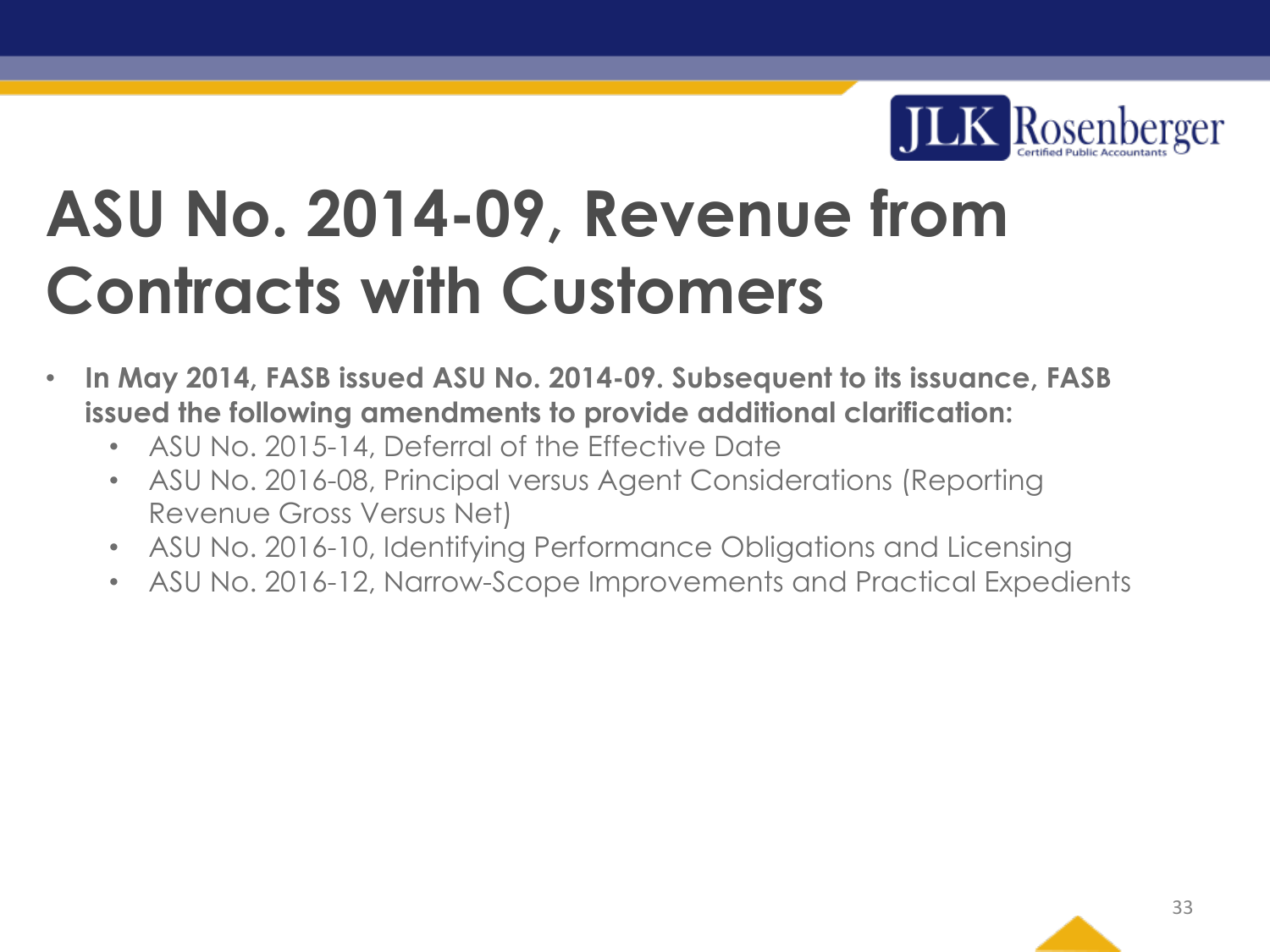

# **ASU No. 2014-09, Revenue from Contracts with Customers**

- **In May 2014, FASB issued ASU No. 2014-09. Subsequent to its issuance, FASB issued the following amendments to provide additional clarification:** 
	- ASU No. 2015-14, Deferral of the Effective Date
	- ASU No. 2016-08, Principal versus Agent Considerations (Reporting Revenue Gross Versus Net)
	- ASU No. 2016-10, Identifying Performance Obligations and Licensing
	- ASU No. 2016-12, Narrow-Scope Improvements and Practical Expedients